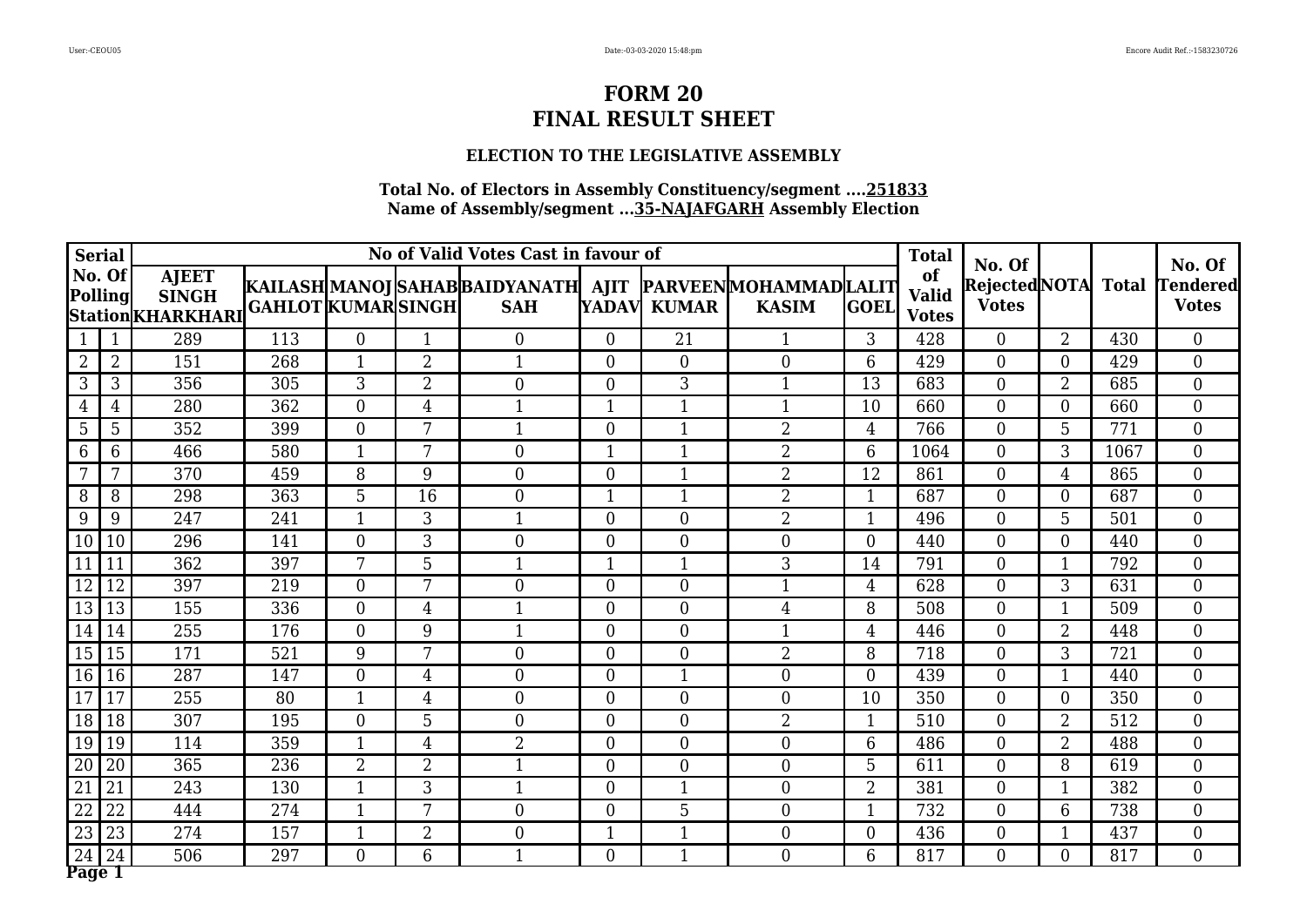### **ELECTION TO THE LEGISLATIVE ASSEMBLY**

|                 | <b>Serial</b>     |                                                     |                           |                |                | No of Valid Votes Cast in favour of                                         |                |                  |                |                | <b>Total</b>                       | No. Of                              |                          |      | No. Of                          |
|-----------------|-------------------|-----------------------------------------------------|---------------------------|----------------|----------------|-----------------------------------------------------------------------------|----------------|------------------|----------------|----------------|------------------------------------|-------------------------------------|--------------------------|------|---------------------------------|
|                 | No. Of<br>Polling | <b>AJEET</b><br><b>SINGH</b><br> Station  KHARKHARI | <b>GAHLOT KUMAR SINGH</b> |                |                | KAILASH MANOJ SAHAB BAIDYANATH  AJIT  PARVEEN MOHAMMAD LALIT <br><b>SAH</b> |                | YADAV KUMAR      | <b>KASIM</b>   | <b>GOEL</b>    | of<br><b>Valid</b><br><b>Votes</b> | Rejected NOTA Total<br><b>Votes</b> |                          |      | <b>Tendered</b><br><b>Votes</b> |
|                 | $\mathbf{1}$      | 289                                                 | 113                       | $\Omega$       | 1              | $\Omega$                                                                    | $\Omega$       | 21               | -1             | 3              | 428                                | $\Omega$                            | $\overline{2}$           | 430  | $\Omega$                        |
| 2               | $\overline{2}$    | 151                                                 | 268                       |                | $\overline{2}$ | 1                                                                           | $\theta$       | $\overline{0}$   | $\overline{0}$ | 6              | 429                                | $\theta$                            | $\Omega$                 | 429  | $\overline{0}$                  |
| 3               | 3                 | 356                                                 | 305                       | 3              | $\overline{2}$ | $\overline{0}$                                                              | $\overline{0}$ | 3                | $\mathbf{1}$   | 13             | 683                                | $\theta$                            | $\overline{2}$           | 685  | $\overline{0}$                  |
| $\overline{4}$  | $\overline{4}$    | 280                                                 | 362                       | $\overline{0}$ | $\overline{4}$ | $\mathbf{1}$                                                                | $\mathbf{1}$   | $\mathbf{1}$     | $\mathbf{1}$   | 10             | 660                                | $\theta$                            | $\overline{0}$           | 660  | $\overline{0}$                  |
| 5               | 5                 | 352                                                 | 399                       | $\overline{0}$ | 7              | 1                                                                           | $\theta$       | $\mathbf{1}$     | $\overline{2}$ | $\overline{4}$ | 766                                | $\theta$                            | 5                        | 771  | $\overline{0}$                  |
| 6               | 6                 | 466                                                 | 580                       | $\mathbf{1}$   | 7              | $\Omega$                                                                    | $\mathbf{1}$   | $\mathbf{1}$     | $\overline{2}$ | 6              | 1064                               | $\Omega$                            | 3                        | 1067 | $\overline{0}$                  |
|                 | 7                 | 370                                                 | 459                       | 8              | 9              | $\overline{0}$                                                              | $\theta$       | $\mathbf{1}$     | $\overline{2}$ | 12             | 861                                | $\theta$                            | 4                        | 865  | $\overline{0}$                  |
| 8               | 8                 | 298                                                 | 363                       | 5              | 16             | $\overline{0}$                                                              | $\mathbf{1}$   | $\mathbf{1}$     | $\overline{2}$ | $\mathbf{1}$   | 687                                | $\theta$                            | $\overline{0}$           | 687  | $\overline{0}$                  |
| 9               | 9                 | 247                                                 | 241                       | $\mathbf{1}$   | 3              | 1                                                                           | $\theta$       | $\overline{0}$   | $\overline{2}$ | $\mathbf{1}$   | 496                                | $\theta$                            | 5                        | 501  | $\overline{0}$                  |
| 10              | 10                | 296                                                 | 141                       | $\theta$       | 3              | $\Omega$                                                                    | $\Omega$       | $\overline{0}$   | $\Omega$       | $\theta$       | 440                                | $\Omega$                            | $\Omega$                 | 440  | $\overline{0}$                  |
| 11              | 11                | 362                                                 | 397                       | 7              | 5              | $\mathbf{1}$                                                                | $\mathbf{1}$   | $\mathbf{1}$     | 3              | 14             | 791                                | $\theta$                            | $\overline{\phantom{a}}$ | 792  | $\overline{0}$                  |
| 12              | 12                | 397                                                 | 219                       | $\overline{0}$ | 7              | $\overline{0}$                                                              | $\overline{0}$ | $\overline{0}$   | 1              | $\overline{4}$ | 628                                | $\overline{0}$                      | 3                        | 631  | $\overline{0}$                  |
| 13              | 13                | 155                                                 | 336                       | $\overline{0}$ | $\overline{4}$ | $\mathbf{1}$                                                                | $\overline{0}$ | $\boldsymbol{0}$ | 4              | 8              | 508                                | $\mathbf{0}$                        | $\mathbf{1}$             | 509  | $\overline{0}$                  |
| 14              | 14                | 255                                                 | 176                       | $\Omega$       | 9              | 1                                                                           | $\theta$       | $\overline{0}$   | $\mathbf{1}$   | $\overline{4}$ | 446                                | $\theta$                            | $\overline{2}$           | 448  | $\overline{0}$                  |
| 15              | 15                | 171                                                 | 521                       | 9              | 7              | $\theta$                                                                    | $\theta$       | $\overline{0}$   | $\overline{2}$ | 8              | 718                                | $\theta$                            | 3                        | 721  | $\overline{0}$                  |
| 16              | 16                | 287                                                 | 147                       | $\overline{0}$ | 4              | $\Omega$                                                                    | $\theta$       | $\mathbf{1}$     | $\overline{0}$ | $\overline{0}$ | 439                                | $\mathbf{0}$                        | $\mathbf 1$              | 440  | $\overline{0}$                  |
| 17              | 17                | 255                                                 | 80                        | 1              | 4              | $\overline{0}$                                                              | $\overline{0}$ | $\overline{0}$   | $\overline{0}$ | 10             | 350                                | $\overline{0}$                      | $\theta$                 | 350  | $\overline{0}$                  |
| 18              | 18                | 307                                                 | 195                       | $\overline{0}$ | 5              | $\overline{0}$                                                              | $\overline{0}$ | $\boldsymbol{0}$ | $\overline{2}$ | $\mathbf{1}$   | 510                                | $\mathbf{0}$                        | $\overline{2}$           | 512  | $\boldsymbol{0}$                |
| 19              | 19                | 114                                                 | 359                       | $\mathbf{1}$   | $\overline{4}$ | $\overline{2}$                                                              | $\theta$       | $\overline{0}$   | $\overline{0}$ | 6              | 486                                | $\Omega$                            | $\overline{2}$           | 488  | $\overline{0}$                  |
| 20              | 20                | 365                                                 | 236                       | $\overline{2}$ | $\overline{2}$ |                                                                             | $\theta$       | $\overline{0}$   | $\overline{0}$ | 5              | 611                                | $\theta$                            | 8                        | 619  | $\boldsymbol{0}$                |
| $\overline{21}$ | 21                | 243                                                 | 130                       | $\mathbf{1}$   | 3              | $\mathbf 1$                                                                 | $\overline{0}$ | $\mathbf{1}$     | $\overline{0}$ | $\overline{2}$ | 381                                | $\overline{0}$                      | -1                       | 382  | $\overline{0}$                  |
| 22              | 22                | 444                                                 | 274                       | $\mathbf{1}$   | 7              | $\Omega$                                                                    | $\overline{0}$ | 5                | $\overline{0}$ | $\mathbf{1}$   | 732                                | $\overline{0}$                      | 6                        | 738  | $\overline{0}$                  |
| 23              | 23                | 274                                                 | 157                       | $\mathbf{1}$   | $\overline{2}$ | $\overline{0}$                                                              | $\mathbf{1}$   | $\mathbf{1}$     | $\overline{0}$ | $\overline{0}$ | 436                                | $\theta$                            | $\mathbf 1$              | 437  | $\overline{0}$                  |
| 24<br>Page 1    | 24                | 506                                                 | 297                       | $\Omega$       | 6              | 1                                                                           | $\theta$       | $\mathbf{1}$     | $\Omega$       | 6              | 817                                | $\theta$                            | $\theta$                 | 817  | $\overline{0}$                  |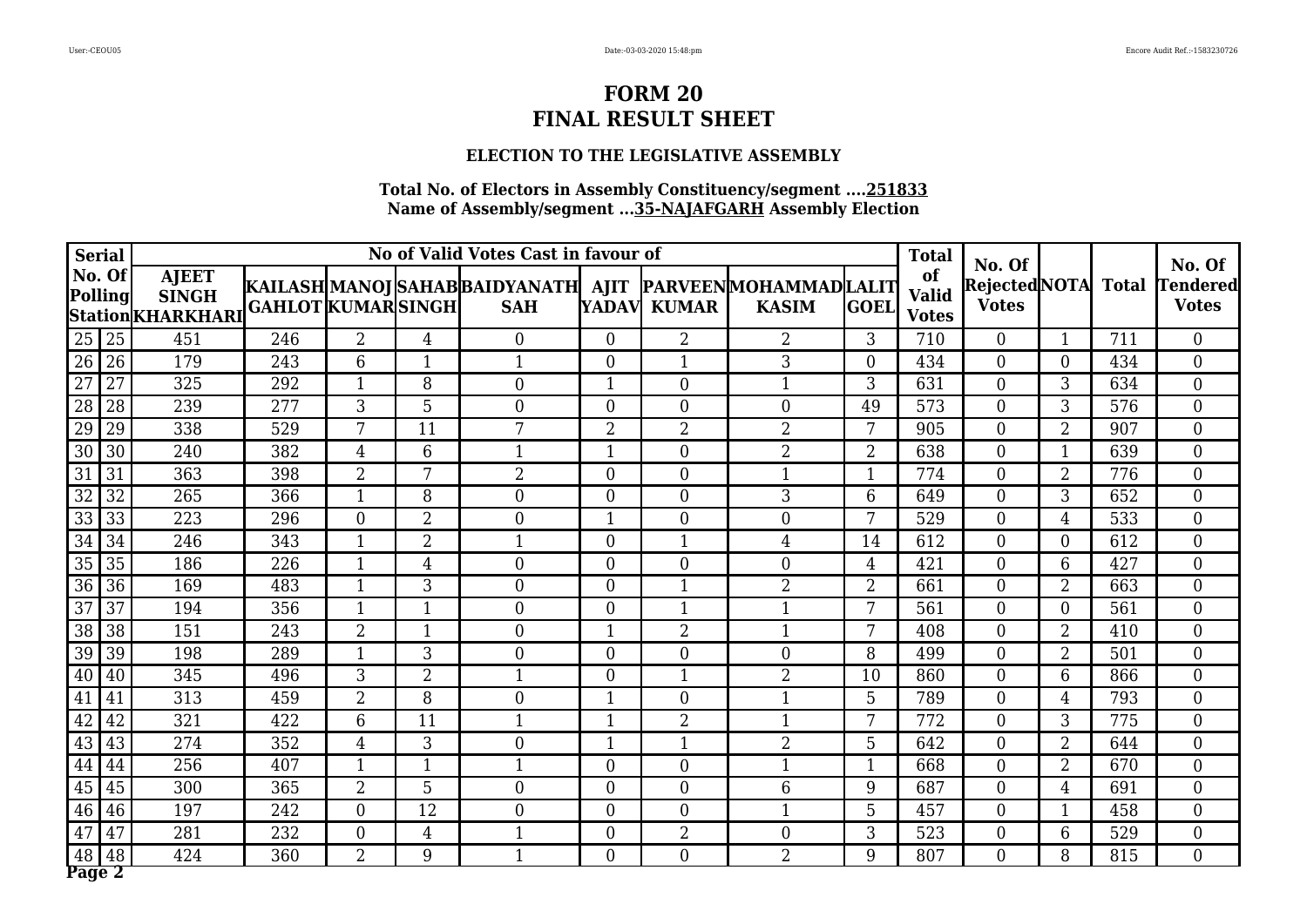### **ELECTION TO THE LEGISLATIVE ASSEMBLY**

|                 | <b>Serial</b>     |                                                    |                           |                |                | No of Valid Votes Cast in favour of                                         |                |                  |                |                | <b>Total</b>                       | No. Of                              |                |     | No. Of                          |
|-----------------|-------------------|----------------------------------------------------|---------------------------|----------------|----------------|-----------------------------------------------------------------------------|----------------|------------------|----------------|----------------|------------------------------------|-------------------------------------|----------------|-----|---------------------------------|
|                 | No. Of<br>Polling | <b>AJEET</b><br><b>SINGH</b><br> Station KHARKHARI | <b>GAHLOT KUMAR SINGH</b> |                |                | KAILASH MANOJ SAHAB BAIDYANATH  AJIT  PARVEEN MOHAMMAD LALIT <br><b>SAH</b> |                | YADAV KUMAR      | <b>KASIM</b>   | <b>GOEL</b>    | of<br><b>Valid</b><br><b>Votes</b> | Rejected NOTA Total<br><b>Votes</b> |                |     | <b>Tendered</b><br><b>Votes</b> |
| 25              | 25                | 451                                                | 246                       | $\overline{2}$ | $\overline{4}$ | $\Omega$                                                                    | $\Omega$       | $\overline{2}$   | $\overline{2}$ | 3              | 710                                | $\Omega$                            | $\overline{1}$ | 711 | $\Omega$                        |
| 26              | 26                | 179                                                | 243                       | 6              |                | 1                                                                           | $\overline{0}$ | $\mathbf{1}$     | 3              | $\overline{0}$ | 434                                | $\theta$                            | $\Omega$       | 434 | $\overline{0}$                  |
| $\overline{27}$ | $\overline{27}$   | 325                                                | 292                       | $\mathbf{1}$   | 8              | $\overline{0}$                                                              | 1              | $\boldsymbol{0}$ | $\mathbf{1}$   | 3              | 631                                | $\theta$                            | 3              | 634 | $\overline{0}$                  |
| 28              | 28                | 239                                                | 277                       | 3              | 5              | $\overline{0}$                                                              | $\theta$       | $\overline{0}$   | $\overline{0}$ | 49             | 573                                | $\theta$                            | 3              | 576 | $\overline{0}$                  |
| 29              | 29                | 338                                                | 529                       | 7              | 11             | 7                                                                           | $\overline{2}$ | $\overline{2}$   | $\overline{2}$ | 7              | 905                                | $\theta$                            | $\overline{2}$ | 907 | $\overline{0}$                  |
| $\overline{30}$ | 30                | 240                                                | 382                       | $\overline{4}$ | 6              | 1                                                                           | 1              | $\overline{0}$   | $\overline{2}$ | $\overline{2}$ | 638                                | $\Omega$                            | $\mathbf 1$    | 639 | $\overline{0}$                  |
| 31              | 31                | 363                                                | 398                       | $\overline{2}$ | 7              | $\overline{2}$                                                              | $\theta$       | $\overline{0}$   | 1              | $\mathbf{1}$   | 774                                | $\theta$                            | $\overline{2}$ | 776 | $\overline{0}$                  |
| $\overline{32}$ | 32                | 265                                                | 366                       | $\mathbf{1}$   | 8              | $\overline{0}$                                                              | $\theta$       | $\boldsymbol{0}$ | 3              | 6              | 649                                | $\theta$                            | 3              | 652 | $\overline{0}$                  |
| $\overline{33}$ | 33                | 223                                                | 296                       | $\overline{0}$ | $\overline{2}$ | $\Omega$                                                                    | 1              | $\overline{0}$   | $\Omega$       | 7              | 529                                | $\theta$                            | 4              | 533 | $\overline{0}$                  |
| $\overline{34}$ | 34                | 246                                                | 343                       | $\mathbf 1$    | $\overline{2}$ |                                                                             | $\Omega$       | 1                | $\overline{4}$ | 14             | 612                                | $\Omega$                            | $\Omega$       | 612 | $\overline{0}$                  |
| 35              | 35                | 186                                                | 226                       | $\mathbf{1}$   | $\overline{4}$ | $\overline{0}$                                                              | $\theta$       | $\overline{0}$   | $\overline{0}$ | $\overline{4}$ | 421                                | $\Omega$                            | 6              | 427 | $\overline{0}$                  |
| 36              | 36                | 169                                                | 483                       | -1             | 3              | $\overline{0}$                                                              | $\overline{0}$ | $\mathbf{1}$     | $\overline{2}$ | $\overline{2}$ | 661                                | $\theta$                            | $\overline{2}$ | 663 | $\overline{0}$                  |
| $\overline{37}$ | 37                | 194                                                | 356                       | $\mathbf{1}$   |                | $\overline{0}$                                                              | $\overline{0}$ | $\mathbf{1}$     | $\mathbf{1}$   | 7              | 561                                | $\theta$                            | $\overline{0}$ | 561 | $\overline{0}$                  |
| 38              | 38                | 151                                                | 243                       | $\overline{2}$ | $\mathbf{1}$   | $\overline{0}$                                                              | 1              | $\overline{2}$   | $\mathbf{1}$   | 7              | 408                                | $\theta$                            | $\overline{2}$ | 410 | $\overline{0}$                  |
| 39              | 39                | 198                                                | 289                       | $\mathbf{1}$   | 3              | $\theta$                                                                    | $\theta$       | $\overline{0}$   | $\overline{0}$ | 8              | 499                                | $\theta$                            | $\overline{2}$ | 501 | $\overline{0}$                  |
| 40              | 40                | 345                                                | 496                       | 3              | $\overline{2}$ | 1                                                                           | $\theta$       | $\mathbf{1}$     | $\overline{2}$ | 10             | 860                                | $\theta$                            | 6              | 866 | $\boldsymbol{0}$                |
| 41              | 41                | 313                                                | 459                       | $\overline{2}$ | 8              | $\overline{0}$                                                              | 1              | $\overline{0}$   | $\mathbf{1}$   | 5              | 789                                | $\overline{0}$                      | 4              | 793 | $\overline{0}$                  |
| 42              | 42                | 321                                                | 422                       | 6              | 11             | $\mathbf{1}$                                                                | $\mathbf{1}$   | $\overline{2}$   | $\mathbf{1}$   | 7              | 772                                | $\mathbf{0}$                        | 3              | 775 | $\boldsymbol{0}$                |
| 43              | 43                | 274                                                | 352                       | $\overline{4}$ | 3              | $\theta$                                                                    | 1              | $\mathbf{1}$     | $\overline{2}$ | 5              | 642                                | $\Omega$                            | $\overline{2}$ | 644 | $\overline{0}$                  |
| 44              | 44                | 256                                                | 407                       |                |                |                                                                             | $\theta$       | $\overline{0}$   | $\mathbf 1$    | $\mathbf{1}$   | 668                                | $\overline{0}$                      | $\overline{2}$ | 670 | $\boldsymbol{0}$                |
| 45              | 45                | 300                                                | 365                       | $\overline{2}$ | 5              | $\overline{0}$                                                              | $\overline{0}$ | $\boldsymbol{0}$ | 6              | 9              | 687                                | $\overline{0}$                      | 4              | 691 | $\overline{0}$                  |
| 46              | 46                | 197                                                | 242                       | $\overline{0}$ | 12             | $\Omega$                                                                    | $\overline{0}$ | $\overline{0}$   | $\mathbf 1$    | 5              | 457                                | $\overline{0}$                      | $\mathbf 1$    | 458 | $\overline{0}$                  |
| 47              | 47                | 281                                                | 232                       | $\overline{0}$ | $\overline{4}$ |                                                                             | $\overline{0}$ | $\overline{2}$   | $\overline{0}$ | 3              | 523                                | $\mathbf{0}$                        | 6              | 529 | $\overline{0}$                  |
| 48<br>Page 2    | 48                | 424                                                | $\overline{360}$          | $\overline{2}$ | 9              | $\mathbf 1$                                                                 | $\theta$       | $\overline{0}$   | $\overline{2}$ | 9              | 807                                | $\theta$                            | 8              | 815 | $\overline{0}$                  |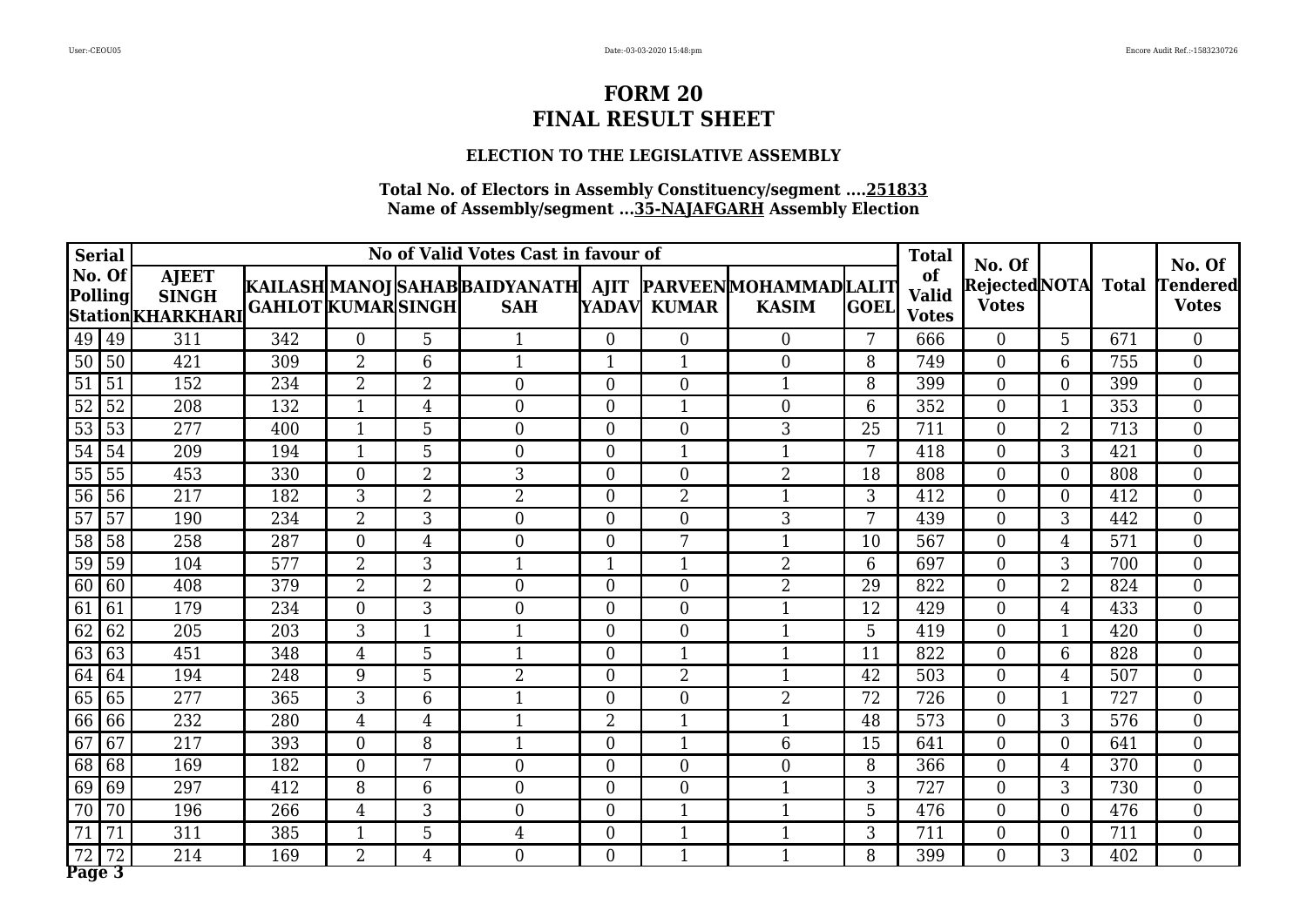### **ELECTION TO THE LEGISLATIVE ASSEMBLY**

| <b>Serial</b>            |                                                   |                           |                |                | No of Valid Votes Cast in favour of                                         |                |                  |                |             | <b>Total</b>                       |                                               |                          |     |                                           |
|--------------------------|---------------------------------------------------|---------------------------|----------------|----------------|-----------------------------------------------------------------------------|----------------|------------------|----------------|-------------|------------------------------------|-----------------------------------------------|--------------------------|-----|-------------------------------------------|
| No. Of<br><b>Polling</b> | <b>AJEET</b><br><b>SINGH</b><br>Station KHARKHARI | <b>GAHLOT KUMAR SINGH</b> |                |                | KAILASH MANOJ SAHAB BAIDYANATH  AJIT  PARVEEN MOHAMMAD LALIT <br><b>SAH</b> |                | YADAV KUMAR      | <b>KASIM</b>   | <b>GOEL</b> | of<br><b>Valid</b><br><b>Votes</b> | No. Of<br>Rejected NOTA Total<br><b>Votes</b> |                          |     | No. Of<br><b>Tendered</b><br><b>Votes</b> |
| 49<br>  49               | 311                                               | 342                       | $\Omega$       | 5              |                                                                             | $\theta$       | $\theta$         | $\Omega$       | 7           | 666                                | $\Omega$                                      | 5                        | 671 | $\Omega$                                  |
| 50<br>50                 | 421                                               | 309                       | $\overline{2}$ | 6              | 1                                                                           | $\mathbf{1}$   | $\mathbf{1}$     | $\Omega$       | 8           | 749                                | $\theta$                                      | 6                        | 755 | $\overline{0}$                            |
| $\overline{51}$<br>51    | 152                                               | 234                       | $\overline{2}$ | $\overline{2}$ | $\theta$                                                                    | $\theta$       | $\overline{0}$   | $\mathbf{1}$   | 8           | 399                                | $\theta$                                      | $\theta$                 | 399 | $\overline{0}$                            |
| $\overline{52}$<br>52    | 208                                               | 132                       | 1              | $\overline{4}$ | $\theta$                                                                    | $\theta$       | 1                | $\overline{0}$ | 6           | 352                                | $\theta$                                      | $\mathbf 1$              | 353 | $\overline{0}$                            |
| 53<br>53                 | 277                                               | 400                       | $\mathbf{1}$   | 5              | $\overline{0}$                                                              | $\theta$       | $\boldsymbol{0}$ | 3              | 25          | 711                                | $\theta$                                      | $\overline{2}$           | 713 | $\overline{0}$                            |
| $\overline{54}$<br>54    | 209                                               | 194                       | $\mathbf{1}$   | 5              | $\Omega$                                                                    | $\theta$       | $\mathbf{1}$     | $\mathbf{1}$   | 7           | 418                                | $\Omega$                                      | 3                        | 421 | $\overline{0}$                            |
| 55<br>55                 | 453                                               | 330                       | $\Omega$       | $\overline{2}$ | 3                                                                           | $\theta$       | $\overline{0}$   | $\overline{2}$ | 18          | 808                                | $\theta$                                      | $\theta$                 | 808 | $\overline{0}$                            |
| 56<br>56                 | 217                                               | 182                       | 3              | $\overline{2}$ | $\overline{2}$                                                              | $\theta$       | $\overline{2}$   | $\mathbf{1}$   | 3           | 412                                | $\theta$                                      | $\theta$                 | 412 | $\overline{0}$                            |
| 57<br>57                 | 190                                               | 234                       | $\overline{2}$ | 3              | $\Omega$                                                                    | $\theta$       | $\overline{0}$   | 3              | 7           | 439                                | $\Omega$                                      | 3                        | 442 | $\overline{0}$                            |
| 58<br>58                 | 258                                               | 287                       | $\overline{0}$ | $\overline{4}$ | $\theta$                                                                    | $\theta$       | 7                |                | 10          | 567                                | $\theta$                                      | 4                        | 571 | $\overline{0}$                            |
| 59<br>59                 | 104                                               | 577                       | $\overline{2}$ | 3              | 1                                                                           | 1              | $\mathbf{1}$     | $\overline{2}$ | 6           | 697                                | $\theta$                                      | 3                        | 700 | $\overline{0}$                            |
| 60<br>60                 | 408                                               | 379                       | $\overline{2}$ | $\overline{2}$ | $\theta$                                                                    | $\theta$       | $\overline{0}$   | $\overline{2}$ | 29          | 822                                | $\theta$                                      | $\overline{2}$           | 824 | $\overline{0}$                            |
| 61<br>61                 | 179                                               | 234                       | $\Omega$       | 3              | $\theta$                                                                    | $\theta$       | $\overline{0}$   | $\mathbf{1}$   | 12          | 429                                | $\theta$                                      | 4                        | 433 | $\overline{0}$                            |
| 62<br>62                 | 205                                               | 203                       | 3              | $\mathbf{1}$   | 1                                                                           | $\theta$       | $\overline{0}$   | $\mathbf{1}$   | 5           | 419                                | $\Omega$                                      | $\overline{\phantom{a}}$ | 420 | $\overline{0}$                            |
| 63<br>63                 | 451                                               | 348                       | 4              | 5              | 1                                                                           | $\theta$       | $\mathbf{1}$     | $\mathbf{1}$   | 11          | 822                                | $\theta$                                      | 6                        | 828 | $\boldsymbol{0}$                          |
| 64<br>64                 | 194                                               | 248                       | 9              | 5              | $\overline{2}$                                                              | $\theta$       | $\overline{2}$   | $\mathbf{1}$   | 42          | 503                                | $\mathbf{0}$                                  | $\overline{4}$           | 507 | $\boldsymbol{0}$                          |
| 65<br>65                 | 277                                               | 365                       | 3              | 6              | $\mathbf{1}$                                                                | $\overline{0}$ | $\overline{0}$   | $\overline{2}$ | 72          | 726                                | $\theta$                                      | $\mathbf 1$              | 727 | $\overline{0}$                            |
| 66<br>66                 | 232                                               | 280                       | $\overline{4}$ | $\overline{4}$ | $\mathbf{1}$                                                                | $\overline{2}$ | $\mathbf{1}$     | $\mathbf{1}$   | 48          | 573                                | $\theta$                                      | 3                        | 576 | $\overline{0}$                            |
| 67<br>67                 | 217                                               | 393                       | $\Omega$       | 8              | $\mathbf 1$                                                                 | $\Omega$       | $\mathbf{1}$     | 6              | 15          | 641                                | $\Omega$                                      | $\Omega$                 | 641 | $\Omega$                                  |
| 68<br>68                 | 169                                               | 182                       | $\overline{0}$ | 7              | $\overline{0}$                                                              | $\theta$       | $\overline{0}$   | $\overline{0}$ | 8           | 366                                | $\overline{0}$                                | 4                        | 370 | $\boldsymbol{0}$                          |
| 69<br>69                 | 297                                               | 412                       | 8              | 6              | $\overline{0}$                                                              | $\theta$       | $\boldsymbol{0}$ | $\mathbf{1}$   | 3           | 727                                | $\theta$                                      | 3                        | 730 | $\overline{0}$                            |
| 70<br>70                 | 196                                               | 266                       | $\overline{4}$ | 3              | $\overline{0}$                                                              | $\theta$       | $\mathbf{1}$     | $\mathbf{1}$   | 5           | 476                                | $\theta$                                      | $\theta$                 | 476 | $\overline{0}$                            |
| 71<br>71                 | 311                                               | 385                       | $\mathbf{1}$   | 5              | $\overline{4}$                                                              | $\overline{0}$ | $\mathbf{1}$     | $\mathbf{1}$   | 3           | 711                                | $\theta$                                      | $\theta$                 | 711 | $\boldsymbol{0}$                          |
| 72                       | $\overline{214}$                                  | 169                       | $\overline{2}$ | $\overline{4}$ | $\Omega$                                                                    | $\theta$       | $\mathbf{1}$     | $\mathbf{1}$   | 8           | 399                                | $\theta$                                      | 3                        | 402 | $\overline{0}$                            |
| Page 3                   |                                                   |                           |                |                |                                                                             |                |                  |                |             |                                    |                                               |                          |     |                                           |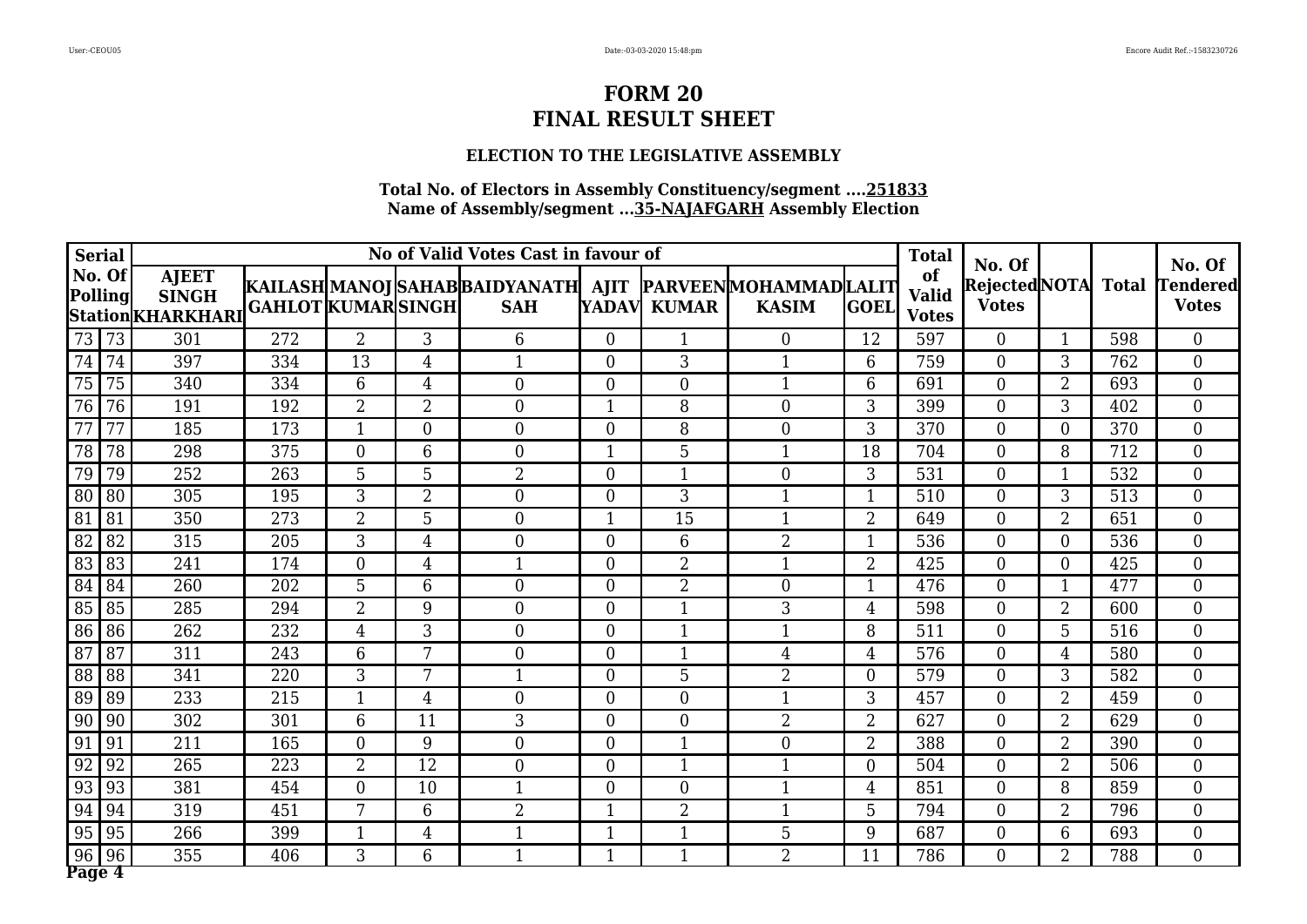### **ELECTION TO THE LEGISLATIVE ASSEMBLY**

| <b>Serial</b>   |                   |                                                    |                           |                 |                | No of Valid Votes Cast in favour of                                         |                |                  |                |                | <b>Total</b>                       | No. Of                              |                          |     | No. Of                          |
|-----------------|-------------------|----------------------------------------------------|---------------------------|-----------------|----------------|-----------------------------------------------------------------------------|----------------|------------------|----------------|----------------|------------------------------------|-------------------------------------|--------------------------|-----|---------------------------------|
|                 | No. Of<br>Polling | <b>AJEET</b><br><b>SINGH</b><br> Station KHARKHARI | <b>GAHLOT KUMAR SINGH</b> |                 |                | KAILASH MANOJ SAHAB BAIDYANATH  AJIT  PARVEEN MOHAMMAD LALIT <br><b>SAH</b> |                | YADAV KUMAR      | <b>KASIM</b>   | <b>GOEL</b>    | of<br><b>Valid</b><br><b>Votes</b> | Rejected NOTA Total<br><b>Votes</b> |                          |     | <b>Tendered</b><br><b>Votes</b> |
| 73              | 73                | 301                                                | 272                       | $\overline{2}$  | 3              | 6                                                                           | $\Omega$       | 1                | $\Omega$       | 12             | 597                                | $\Omega$                            | $\overline{1}$           | 598 | $\Omega$                        |
| 74              | 74                | 397                                                | 334                       | 13              | 4              | 1                                                                           | $\theta$       | 3                | $\mathbf 1$    | 6              | 759                                | $\theta$                            | 3                        | 762 | $\overline{0}$                  |
| $\overline{75}$ | 75                | 340                                                | 334                       | 6               | $\overline{4}$ | $\overline{0}$                                                              | $\overline{0}$ | $\boldsymbol{0}$ | $\mathbf{1}$   | 6              | 691                                | $\theta$                            | $\overline{2}$           | 693 | $\overline{0}$                  |
| 76              | 76                | 191                                                | 192                       | $\overline{2}$  | $\overline{2}$ | $\overline{0}$                                                              | $\mathbf{1}$   | 8                | $\overline{0}$ | 3              | 399                                | $\theta$                            | 3                        | 402 | $\overline{0}$                  |
| 77              | 77                | 185                                                | 173                       | $\mathbf{1}$    | $\Omega$       | $\theta$                                                                    | $\theta$       | 8                | $\overline{0}$ | 3              | 370                                | $\theta$                            | $\Omega$                 | 370 | $\overline{0}$                  |
| $\overline{78}$ | 78                | 298                                                | 375                       | $\Omega$        | 6              | $\Omega$                                                                    | 1              | $\overline{5}$   | $\mathbf{1}$   | 18             | 704                                | $\Omega$                            | 8                        | 712 | $\overline{0}$                  |
| 79              | 79                | 252                                                | 263                       | $5\phantom{.0}$ | 5              | $\overline{2}$                                                              | $\theta$       | $\mathbf{1}$     | $\overline{0}$ | 3              | 531                                | $\theta$                            | $\overline{\phantom{a}}$ | 532 | $\overline{0}$                  |
| 80              | 80                | 305                                                | 195                       | 3               | $\overline{2}$ | $\overline{0}$                                                              | $\theta$       | 3                | $\mathbf{1}$   | $\mathbf{1}$   | 510                                | $\theta$                            | 3                        | 513 | $\overline{0}$                  |
| $\overline{81}$ | 81                | 350                                                | 273                       | $\overline{2}$  | 5              | $\Omega$                                                                    | 1              | 15               | $\mathbf{1}$   | $\overline{2}$ | 649                                | $\theta$                            | $\overline{2}$           | 651 | $\Omega$                        |
| $\overline{82}$ | 82                | 315                                                | 205                       | 3               | 4              | $\Omega$                                                                    | $\Omega$       | 6                | $\overline{2}$ | 1              | 536                                | $\Omega$                            | $\Omega$                 | 536 | $\overline{0}$                  |
| 83              | 83                | 241                                                | 174                       | $\overline{0}$  | $\overline{4}$ | $\mathbf{1}$                                                                | $\theta$       | $\overline{2}$   | $\mathbf{1}$   | $\overline{2}$ | 425                                | $\Omega$                            | $\theta$                 | 425 | $\overline{0}$                  |
| 84              | 84                | 260                                                | 202                       | 5               | 6              | $\theta$                                                                    | $\overline{0}$ | $\overline{2}$   | $\overline{0}$ | $\mathbf{1}$   | 476                                | $\overline{0}$                      | $\overline{\phantom{a}}$ | 477 | $\overline{0}$                  |
| 85              | 85                | 285                                                | 294                       | $\overline{2}$  | 9              | $\overline{0}$                                                              | $\overline{0}$ | $\mathbf{1}$     | 3              | $\overline{4}$ | 598                                | $\theta$                            | $\overline{2}$           | 600 | $\overline{0}$                  |
| 86              | 86                | 262                                                | 232                       | $\overline{4}$  | 3              | $\overline{0}$                                                              | $\theta$       | $\mathbf{1}$     | $\mathbf{1}$   | 8              | 511                                | $\theta$                            | 5                        | 516 | $\overline{0}$                  |
| $\overline{87}$ | 87                | 311                                                | 243                       | 6               | 7              | $\theta$                                                                    | $\Omega$       | $\mathbf{1}$     | $\overline{4}$ | $\overline{4}$ | 576                                | $\theta$                            | 4                        | 580 | $\overline{0}$                  |
| 88              | 88                | 341                                                | 220                       | 3               | 7              | 1                                                                           | $\theta$       | 5                | $\overline{2}$ | $\overline{0}$ | 579                                | $\theta$                            | 3                        | 582 | $\boldsymbol{0}$                |
| 89              | 89                | 233                                                | 215                       | $\mathbf{1}$    | 4              | $\overline{0}$                                                              | $\overline{0}$ | $\overline{0}$   | $\mathbf 1$    | 3              | 457                                | $\overline{0}$                      | $\overline{2}$           | 459 | $\overline{0}$                  |
| 90              | 90                | 302                                                | 301                       | 6               | 11             | 3                                                                           | $\theta$       | $\boldsymbol{0}$ | $\overline{2}$ | $\overline{2}$ | 627                                | $\theta$                            | $\overline{2}$           | 629 | $\boldsymbol{0}$                |
| 91              | 91                | 211                                                | 165                       | $\Omega$        | 9              | $\overline{0}$                                                              | $\theta$       | $\mathbf{1}$     | $\overline{0}$ | $\overline{2}$ | 388                                | $\Omega$                            | $\overline{2}$           | 390 | $\overline{0}$                  |
| 92              | 92                | 265                                                | 223                       | $\overline{2}$  | 12             | $\Omega$                                                                    | $\theta$       | 1                | $\mathbf{1}$   | $\overline{0}$ | 504                                | $\theta$                            | $\overline{2}$           | 506 | $\boldsymbol{0}$                |
| 93              | 93                | 381                                                | 454                       | $\overline{0}$  | 10             | $\mathbf 1$                                                                 | $\theta$       | $\boldsymbol{0}$ | $\mathbf{1}$   | $\overline{4}$ | 851                                | $\overline{0}$                      | 8                        | 859 | $\overline{0}$                  |
| 94              | 94                | 319                                                | 451                       | 7               | 6              | $\overline{2}$                                                              | $\mathbf{1}$   | $\overline{2}$   | $\mathbf 1$    | 5              | 794                                | $\theta$                            | $\overline{2}$           | 796 | $\overline{0}$                  |
| 95              | 95                | 266                                                | 399                       | $\mathbf{1}$    | $\overline{4}$ |                                                                             | 1              | $\mathbf{1}$     | 5              | 9              | 687                                | $\theta$                            | 6                        | 693 | $\overline{0}$                  |
| 96<br>Page 4    | 96                | 355                                                | 406                       | 3               | 6              | $\mathbf 1$                                                                 | 1              | $\mathbf{1}$     | $\overline{2}$ | 11             | 786                                | $\theta$                            | $\overline{2}$           | 788 | $\overline{0}$                  |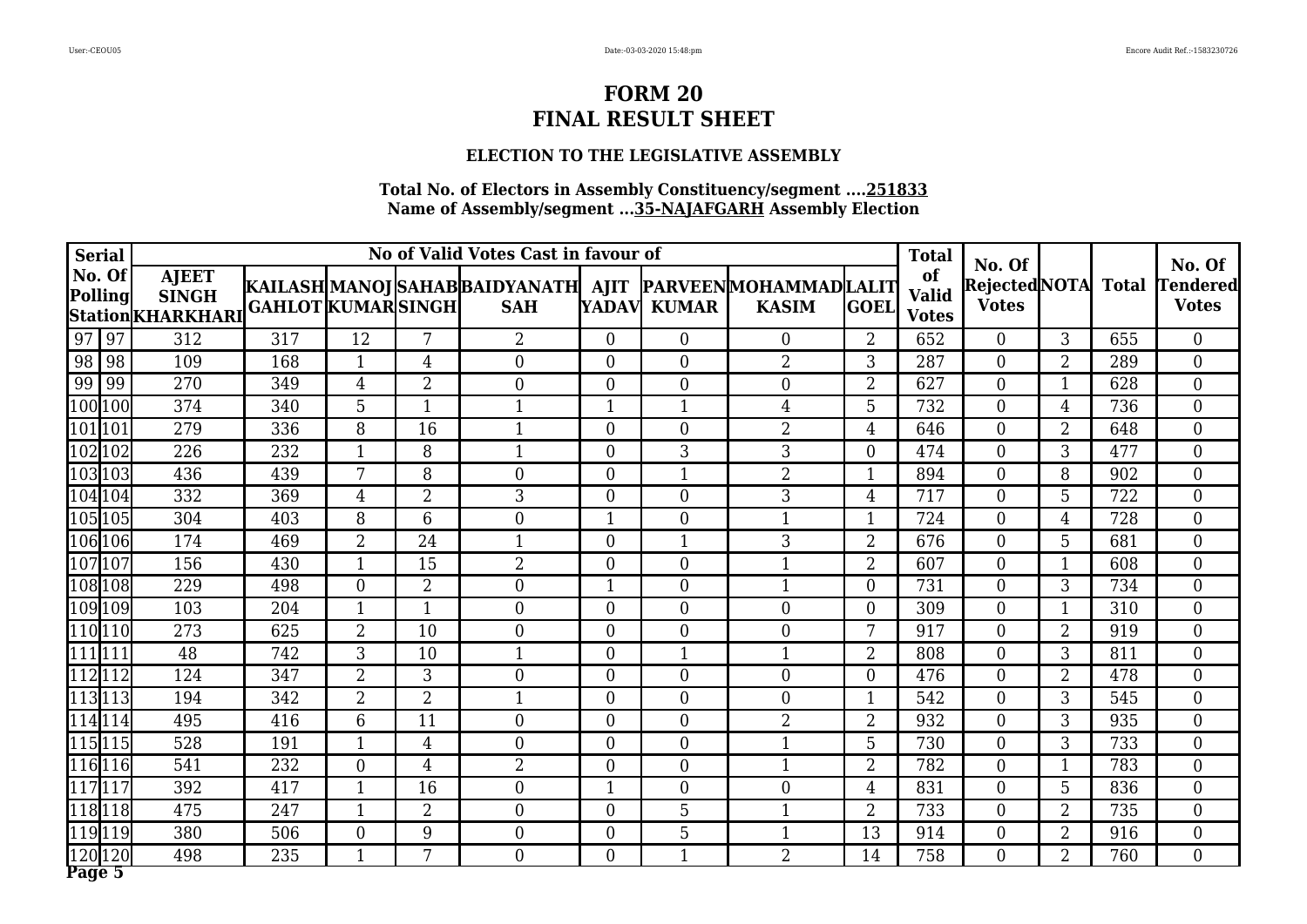### **ELECTION TO THE LEGISLATIVE ASSEMBLY**

| <b>Serial</b>            |                                                    |                           |                |                | No of Valid Votes Cast in favour of                                         |                |                  |                  |                  | <b>Total</b>                       |                                               |                |     |                                           |
|--------------------------|----------------------------------------------------|---------------------------|----------------|----------------|-----------------------------------------------------------------------------|----------------|------------------|------------------|------------------|------------------------------------|-----------------------------------------------|----------------|-----|-------------------------------------------|
| No. Of<br><b>Polling</b> | <b>AJEET</b><br><b>SINGH</b><br> Station KHARKHARI | <b>GAHLOT KUMAR SINGH</b> |                |                | KAILASH MANOJ SAHAB BAIDYANATH  AJIT  PARVEEN MOHAMMAD LALIT <br><b>SAH</b> |                | YADAV KUMAR      | <b>KASIM</b>     | <b>GOEL</b>      | of<br><b>Valid</b><br><b>Votes</b> | No. Of<br>Rejected NOTA Total<br><b>Votes</b> |                |     | No. Of<br><b>Tendered</b><br><b>Votes</b> |
| $\sqrt{97}$<br>97        | 312                                                | 317                       | 12             | 7              | $\overline{2}$                                                              | $\theta$       | $\theta$         | $\Omega$         | $\overline{2}$   | 652                                | $\Omega$                                      | 3              | 655 | $\Omega$                                  |
| 98<br>  98               | 109                                                | 168                       | $\mathbf{1}$   | 4              | $\overline{0}$                                                              | $\theta$       | $\overline{0}$   | $\overline{2}$   | 3                | 287                                | $\theta$                                      | $\overline{2}$ | 289 | $\overline{0}$                            |
| $\overline{99}$<br>99    | 270                                                | 349                       | 4              | $\overline{2}$ | $\theta$                                                                    | $\theta$       | $\overline{0}$   | $\overline{0}$   | $\overline{2}$   | 627                                | $\theta$                                      | -1             | 628 | $\boldsymbol{0}$                          |
| 100 100                  | 374                                                | 340                       | 5              | $\mathbf{1}$   | $\mathbf{1}$                                                                | 1              | 1                | 4                | 5                | 732                                | $\theta$                                      | 4              | 736 | $\overline{0}$                            |
| 101  101                 | 279                                                | 336                       | 8              | 16             | 1                                                                           | $\theta$       | $\boldsymbol{0}$ | $\overline{2}$   | $\overline{4}$   | 646                                | $\theta$                                      | $\overline{2}$ | 648 | $\overline{0}$                            |
| 102 102                  | $\overline{226}$                                   | $\overline{232}$          | $\mathbf{1}$   | 8              | $\mathbf 1$                                                                 | $\theta$       | $\overline{3}$   | $\overline{3}$   | $\overline{0}$   | 474                                | $\Omega$                                      | 3              | 477 | $\overline{0}$                            |
| 103103                   | 436                                                | 439                       | 7              | 8              | $\theta$                                                                    | $\theta$       | $\mathbf{1}$     | $\overline{2}$   | 1                | 894                                | $\overline{0}$                                | 8              | 902 | $\overline{0}$                            |
| 104104                   | 332                                                | 369                       | 4              | $\overline{2}$ | 3                                                                           | $\overline{0}$ | $\boldsymbol{0}$ | 3                | $\overline{4}$   | 717                                | $\theta$                                      | 5              | 722 | $\overline{0}$                            |
| 105105                   | 304                                                | 403                       | 8              | 6              | $\theta$                                                                    | $\mathbf{1}$   | $\overline{0}$   | $\mathbf{1}$     | $\mathbf{1}$     | 724                                | $\theta$                                      | 4              | 728 | $\overline{0}$                            |
| $\sqrt{106}$ 106         | 174                                                | 469                       | $\overline{2}$ | 24             |                                                                             | $\theta$       | 1                | 3                | $\overline{2}$   | 676                                | $\theta$                                      | 5              | 681 | $\overline{0}$                            |
| 107107                   | 156                                                | 430                       | $\mathbf{1}$   | 15             | $\overline{2}$                                                              | $\overline{0}$ | $\boldsymbol{0}$ | $\mathbf{1}$     | $\overline{2}$   | 607                                | $\theta$                                      | $\mathbf 1$    | 608 | $\overline{0}$                            |
| 108108                   | 229                                                | 498                       | $\theta$       | $\overline{2}$ | $\theta$                                                                    | 1              | $\overline{0}$   | $\mathbf{1}$     | $\overline{0}$   | 731                                | $\theta$                                      | 3              | 734 | $\overline{0}$                            |
| 109 109                  | 103                                                | 204                       | $\mathbf{1}$   | 1              | $\Omega$                                                                    | $\theta$       | $\overline{0}$   | $\overline{0}$   | $\overline{0}$   | 309                                | $\theta$                                      | $\mathbf{1}$   | 310 | $\overline{0}$                            |
| 110110                   | 273                                                | 625                       | $\overline{2}$ | 10             | $\theta$                                                                    | $\theta$       | $\overline{0}$   | $\theta$         | 7                | 917                                | $\Omega$                                      | $\overline{2}$ | 919 | $\overline{0}$                            |
| 1111111                  | 48                                                 | 742                       | 3              | 10             | 1                                                                           | $\theta$       | $\mathbf{1}$     | 1                | $\overline{2}$   | 808                                | $\theta$                                      | 3              | 811 | $\boldsymbol{0}$                          |
| 112112                   | 124                                                | 347                       | $\overline{2}$ | 3              | $\overline{0}$                                                              | $\theta$       | $\boldsymbol{0}$ | $\overline{0}$   | $\boldsymbol{0}$ | 476                                | $\overline{0}$                                | $\overline{2}$ | 478 | $\boldsymbol{0}$                          |
| 113113                   | 194                                                | 342                       | $\overline{2}$ | $\overline{2}$ | $\mathbf{1}$                                                                | $\overline{0}$ | $\overline{0}$   | $\overline{0}$   | $\mathbf{1}$     | 542                                | $\theta$                                      | 3              | 545 | $\overline{0}$                            |
| 114114                   | 495                                                | 416                       | 6              | 11             | $\theta$                                                                    | $\theta$       | $\overline{0}$   | $\overline{2}$   | $\overline{2}$   | 932                                | $\theta$                                      | 3              | 935 | $\overline{0}$                            |
| [115 115]                | 528                                                | 191                       | $\mathbf{1}$   | $\overline{4}$ | $\Omega$                                                                    | $\Omega$       | $\theta$         | $\mathbf{1}$     | 5                | 730                                | $\Omega$                                      | 3              | 733 | $\Omega$                                  |
| 116116                   | 541                                                | 232                       | $\overline{0}$ | 4              | $\overline{2}$                                                              | $\theta$       | $\boldsymbol{0}$ | -1               | $\overline{2}$   | 782                                | $\overline{0}$                                |                | 783 | $\boldsymbol{0}$                          |
| 117117                   | 392                                                | 417                       | $\mathbf 1$    | 16             | $\overline{0}$                                                              | 1              | $\boldsymbol{0}$ | $\boldsymbol{0}$ | $\overline{4}$   | 831                                | $\theta$                                      | 5              | 836 | $\overline{0}$                            |
| 118118                   | 475                                                | 247                       | $\mathbf{1}$   | $\overline{2}$ | $\overline{0}$                                                              | $\theta$       | 5                | $\mathbf{1}$     | $\overline{2}$   | 733                                | $\theta$                                      | $\overline{2}$ | 735 | $\overline{0}$                            |
| 119119                   | 380                                                | 506                       | $\overline{0}$ | 9              | $\overline{0}$                                                              | $\overline{0}$ | 5                | $\mathbf{1}$     | 13               | 914                                | $\theta$                                      | $\overline{2}$ | 916 | $\boldsymbol{0}$                          |
| 120 120<br>Page 5        | 498                                                | $\overline{235}$          | $\mathbf{1}$   | 7              | $\overline{0}$                                                              | $\theta$       | $\mathbf{1}$     | $\overline{2}$   | 14               | 758                                | $\theta$                                      | $\overline{2}$ | 760 | $\overline{0}$                            |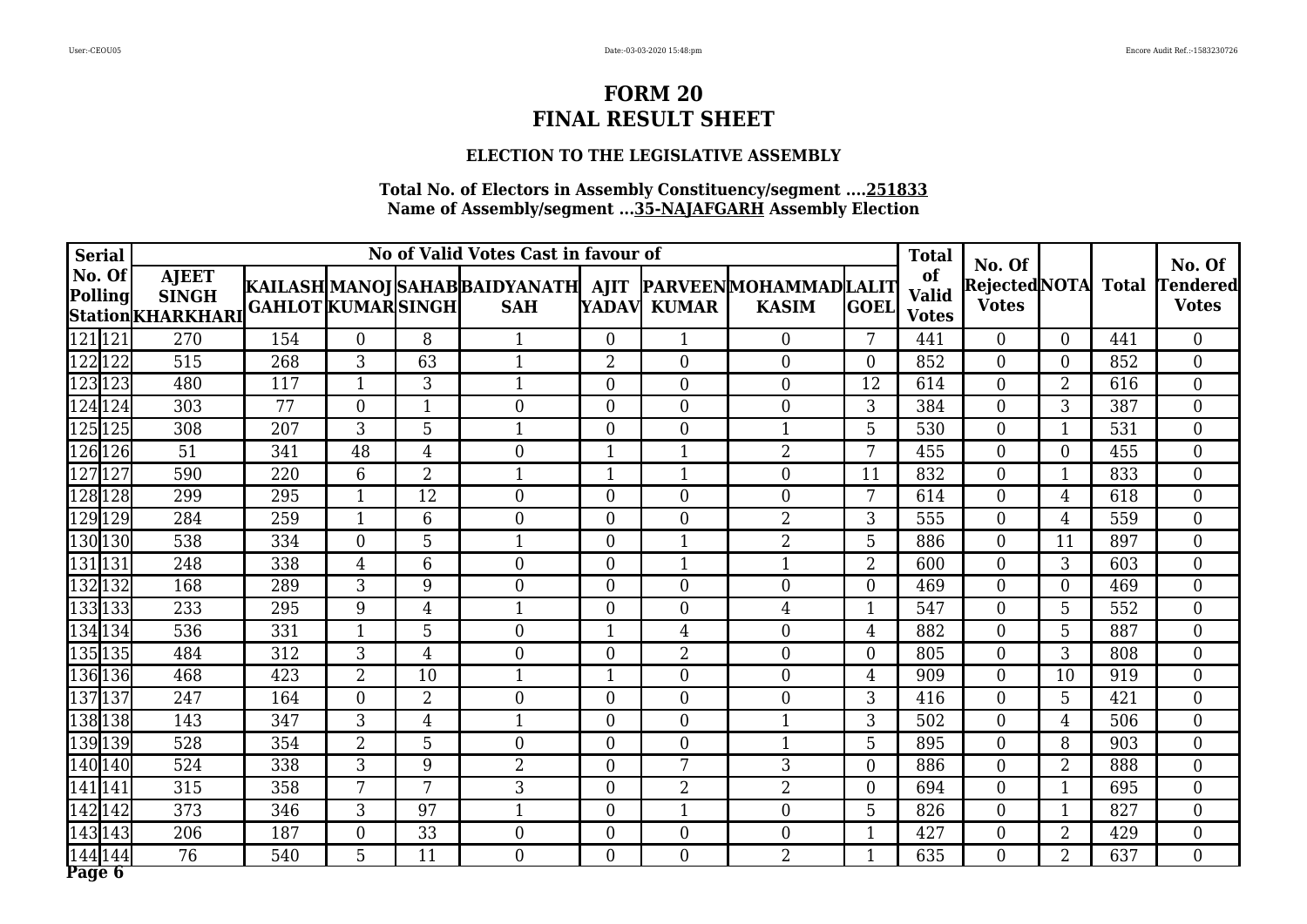### **ELECTION TO THE LEGISLATIVE ASSEMBLY**

| <b>Serial</b>     |                                                   |                           |                |                | No of Valid Votes Cast in favour of                                         |                |                  |                |                  | <b>Total</b>                       |                                               |                          |     |                                           |
|-------------------|---------------------------------------------------|---------------------------|----------------|----------------|-----------------------------------------------------------------------------|----------------|------------------|----------------|------------------|------------------------------------|-----------------------------------------------|--------------------------|-----|-------------------------------------------|
| No. Of<br>Polling | <b>AJEET</b><br><b>SINGH</b><br>Station KHARKHARI | <b>GAHLOT KUMAR SINGH</b> |                |                | KAILASH MANOJ SAHAB BAIDYANATH  AJIT  PARVEEN MOHAMMAD LALIT <br><b>SAH</b> |                | YADAV KUMAR      | <b>KASIM</b>   | <b>GOEL</b>      | of<br><b>Valid</b><br><b>Votes</b> | No. Of<br>Rejected NOTA Total<br><b>Votes</b> |                          |     | No. Of<br><b>Tendered</b><br><b>Votes</b> |
| 121121            | 270                                               | 154                       | $\Omega$       | 8              |                                                                             | $\theta$       | 1                | $\Omega$       | 7                | 441                                | $\Omega$                                      | $\Omega$                 | 441 | $\overline{0}$                            |
| 122122            | 515                                               | 268                       | $\overline{3}$ | 63             | $\mathbf{1}$                                                                | 2              | $\overline{0}$   | $\overline{0}$ | $\overline{0}$   | 852                                | $\theta$                                      | $\Omega$                 | 852 | $\overline{0}$                            |
| 123123            | 480                                               | 117                       | $\mathbf{1}$   | 3              | 1                                                                           | $\overline{0}$ | $\overline{0}$   | $\overline{0}$ | 12               | 614                                | $\overline{0}$                                | $\overline{2}$           | 616 | $\overline{0}$                            |
| $\sqrt{124}124$   | 303                                               | 77                        | $\overline{0}$ |                | $\overline{0}$                                                              | $\overline{0}$ | $\overline{0}$   | $\overline{0}$ | 3                | 384                                | $\theta$                                      | 3                        | 387 | $\overline{0}$                            |
| 125 125           | 308                                               | 207                       | 3              | 5              | 1                                                                           | $\theta$       | $\overline{0}$   | $\mathbf{1}$   | 5                | 530                                | $\overline{0}$                                | -1                       | 531 | $\overline{0}$                            |
| $\sqrt{126}126$   | 51                                                | 341                       | 48             | $\overline{4}$ | $\theta$                                                                    | $\mathbf{1}$   | $\mathbf{1}$     | $\overline{2}$ | 7                | 455                                | $\Omega$                                      | $\theta$                 | 455 | $\overline{0}$                            |
| $\sqrt{127}127$   | 590                                               | 220                       | $6\phantom{1}$ | $\overline{2}$ |                                                                             |                | $\mathbf{1}$     | $\overline{0}$ | 11               | 832                                | $\theta$                                      | $\overline{\phantom{a}}$ | 833 | $\boldsymbol{0}$                          |
| 128 128           | 299                                               | 295                       | $\mathbf{1}$   | 12             | $\overline{0}$                                                              | $\theta$       | $\boldsymbol{0}$ | $\overline{0}$ | 7                | 614                                | $\overline{0}$                                | $\overline{4}$           | 618 | $\overline{0}$                            |
| 129129            | 284                                               | 259                       | 1              | 6              | $\theta$                                                                    | $\theta$       | $\overline{0}$   | $\overline{2}$ | 3                | 555                                | $\theta$                                      | 4                        | 559 | $\overline{0}$                            |
| 130 130           | 538                                               | 334                       | $\theta$       | 5              |                                                                             | $\theta$       | $\mathbf{1}$     | $\overline{2}$ | 5                | 886                                | $\theta$                                      | 11                       | 897 | $\overline{0}$                            |
| 131131            | 248                                               | 338                       | $\overline{4}$ | 6              | $\overline{0}$                                                              | $\overline{0}$ | $\mathbf{1}$     | $\mathbf{1}$   | $\overline{2}$   | 600                                | $\theta$                                      | 3                        | 603 | $\boldsymbol{0}$                          |
| 132132            | 168                                               | 289                       | 3              | 9              | $\theta$                                                                    | $\overline{0}$ | $\overline{0}$   | $\overline{0}$ | $\overline{0}$   | 469                                | $\theta$                                      | $\theta$                 | 469 | $\overline{0}$                            |
| 133133            | 233                                               | 295                       | 9              | 4              | $\mathbf{1}$                                                                | $\theta$       | $\boldsymbol{0}$ | $\overline{4}$ | $\mathbf{1}$     | 547                                | $\mathbf{0}$                                  | 5                        | 552 | $\overline{0}$                            |
| 134134            | 536                                               | 331                       | $\mathbf{1}$   | 5              | $\theta$                                                                    | 1              | $\overline{4}$   | $\Omega$       | $\overline{4}$   | 882                                | $\theta$                                      | 5                        | 887 | $\overline{0}$                            |
| 135135            | 484                                               | 312                       | 3              | $\overline{4}$ | $\overline{0}$                                                              | $\overline{0}$ | $\overline{2}$   | $\overline{0}$ | $\overline{0}$   | 805                                | $\theta$                                      | 3                        | 808 | $\overline{0}$                            |
| 136136            | 468                                               | 423                       | $\overline{2}$ | 10             | 1                                                                           | $\mathbf{1}$   | $\overline{0}$   | $\overline{0}$ | $\overline{4}$   | 909                                | $\theta$                                      | 10                       | 919 | $\overline{0}$                            |
| 137137            | 247                                               | 164                       | $\overline{0}$ | $\overline{2}$ | $\overline{0}$                                                              | $\overline{0}$ | $\overline{0}$   | $\overline{0}$ | 3                | 416                                | $\theta$                                      | 5                        | 421 | $\overline{0}$                            |
| 138 138           | 143                                               | 347                       | 3              | $\overline{4}$ | $\mathbf{1}$                                                                | $\theta$       | $\boldsymbol{0}$ | $\mathbf{1}$   | 3                | 502                                | $\theta$                                      | 4                        | 506 | $\overline{0}$                            |
| 139139            | 528                                               | 354                       | $\overline{2}$ | 5              | $\Omega$                                                                    | $\theta$       | $\overline{0}$   | $\mathbf{1}$   | 5                | 895                                | $\Omega$                                      | 8                        | 903 | $\overline{0}$                            |
| 140 140           | 524                                               | 338                       | 3              | 9              | $\overline{2}$                                                              | $\theta$       | 7                | 3              | $\overline{0}$   | 886                                | $\theta$                                      | $\overline{2}$           | 888 | $\boldsymbol{0}$                          |
| 141141            | 315                                               | 358                       | 7              | 7              | 3                                                                           | $\theta$       | $\overline{2}$   | $\overline{2}$ | $\boldsymbol{0}$ | 694                                | $\overline{0}$                                | -1                       | 695 | $\overline{0}$                            |
| 142142            | 373                                               | 346                       | 3              | 97             | 1                                                                           | $\overline{0}$ | $\mathbf{1}$     | $\overline{0}$ | 5                | 826                                | $\overline{0}$                                | $\mathbf{1}$             | 827 | $\overline{0}$                            |
| 143143            | 206                                               | 187                       | $\overline{0}$ | 33             | $\overline{0}$                                                              | $\theta$       | $\boldsymbol{0}$ | $\overline{0}$ | $\mathbf{1}$     | 427                                | $\boldsymbol{0}$                              | $\overline{2}$           | 429 | $\boldsymbol{0}$                          |
| 144 144<br>Page 6 | 76                                                | 540                       | 5              | 11             | $\overline{0}$                                                              | $\theta$       | $\overline{0}$   | $\overline{2}$ | $\mathbf{1}$     | 635                                | $\theta$                                      | $\overline{2}$           | 637 | $\overline{0}$                            |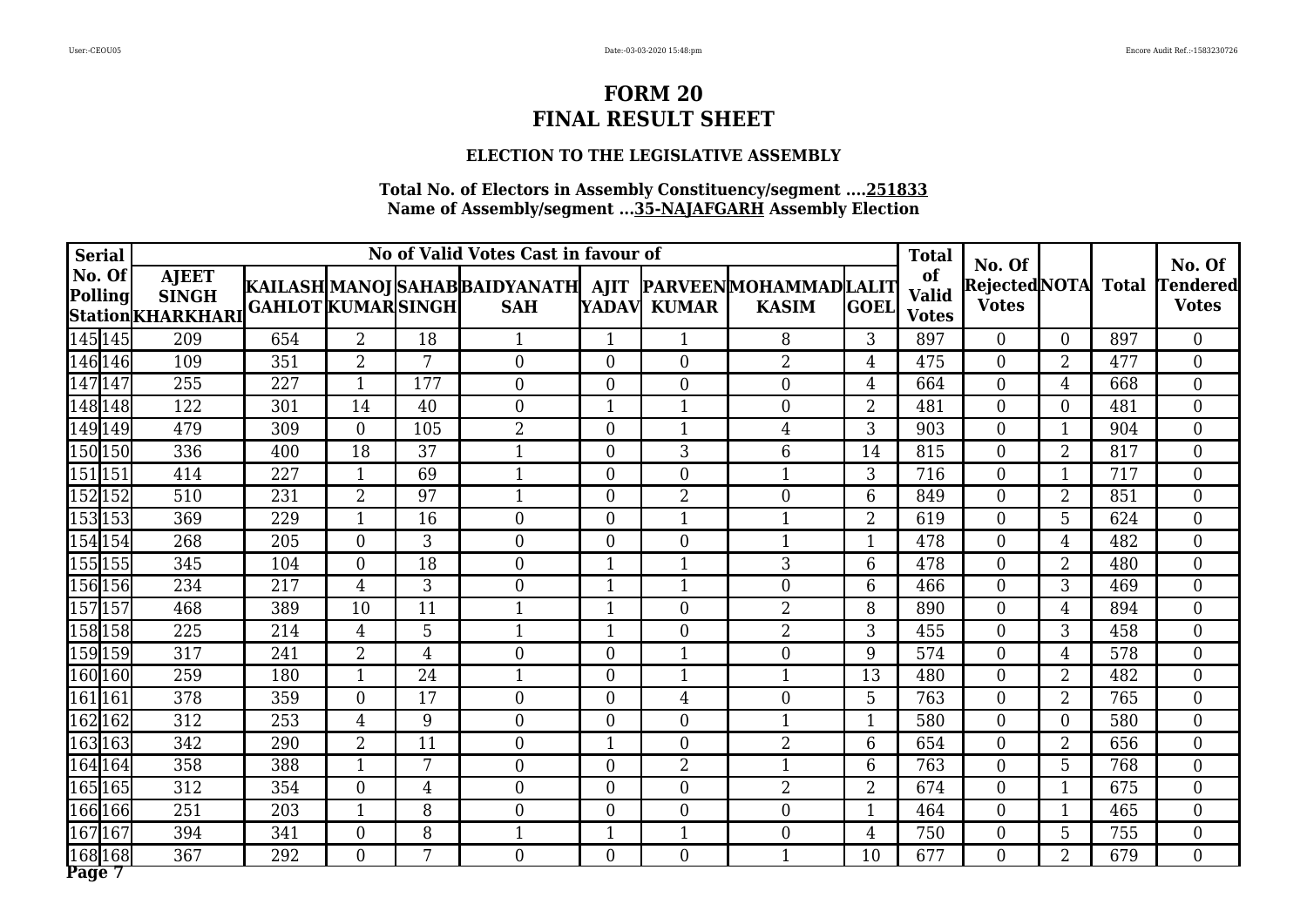### **ELECTION TO THE LEGISLATIVE ASSEMBLY**

| <b>Serial</b>     |                                                   |                           |                |                | No of Valid Votes Cast in favour of                                         |                |                  |                |                | <b>Total</b>                       |                                               |                          |     |                                           |
|-------------------|---------------------------------------------------|---------------------------|----------------|----------------|-----------------------------------------------------------------------------|----------------|------------------|----------------|----------------|------------------------------------|-----------------------------------------------|--------------------------|-----|-------------------------------------------|
| No. Of<br>Polling | <b>AJEET</b><br><b>SINGH</b><br>Station KHARKHARI | <b>GAHLOT KUMAR SINGH</b> |                |                | KAILASH MANOJ SAHAB BAIDYANATH  AJIT  PARVEEN MOHAMMAD LALIT <br><b>SAH</b> |                | YADAV KUMAR      | <b>KASIM</b>   | <b>GOEL</b>    | of<br><b>Valid</b><br><b>Votes</b> | No. Of<br>Rejected NOTA Total<br><b>Votes</b> |                          |     | No. Of<br><b>Tendered</b><br><b>Votes</b> |
| 145 145           | 209                                               | 654                       | $\overline{2}$ | 18             |                                                                             | 1              | 1                | 8              | 3              | 897                                | $\Omega$                                      | $\Omega$                 | 897 | $\overline{0}$                            |
| 146 146           | 109                                               | 351                       | $\overline{2}$ | 7              | $\overline{0}$                                                              | $\overline{0}$ | $\overline{0}$   | $\overline{2}$ | $\overline{4}$ | 475                                | $\theta$                                      | $\overline{2}$           | 477 | $\overline{0}$                            |
| 147147            | 255                                               | 227                       | $\mathbf{1}$   | 177            | $\overline{0}$                                                              | $\overline{0}$ | $\overline{0}$   | $\overline{0}$ | $\overline{4}$ | 664                                | $\overline{0}$                                | 4                        | 668 | $\overline{0}$                            |
| 148148            | 122                                               | 301                       | 14             | 40             | $\theta$                                                                    | 1              | $\mathbf{1}$     | $\overline{0}$ | $\overline{2}$ | 481                                | $\mathbf{0}$                                  | $\theta$                 | 481 | $\overline{0}$                            |
| 149149            | 479                                               | 309                       | $\overline{0}$ | 105            | $\overline{2}$                                                              | $\theta$       | $\mathbf{1}$     | 4              | 3              | 903                                | $\overline{0}$                                | -1                       | 904 | $\overline{0}$                            |
| 150 150           | 336                                               | 400                       | 18             | 37             | 1                                                                           | $\theta$       | $\overline{3}$   | 6              | 14             | 815                                | $\Omega$                                      | $\overline{2}$           | 817 | $\overline{0}$                            |
| 151 151           | 414                                               | 227                       |                | 69             |                                                                             | $\overline{0}$ | $\boldsymbol{0}$ |                | 3              | 716                                | $\mathbf{0}$                                  | $\overline{\phantom{a}}$ | 717 | $\boldsymbol{0}$                          |
| 152152            | 510                                               | 231                       | $\overline{2}$ | 97             | 1                                                                           | $\theta$       | $\overline{2}$   | $\overline{0}$ | $6\phantom{1}$ | 849                                | $\overline{0}$                                | $\overline{2}$           | 851 | $\overline{0}$                            |
| 153153            | 369                                               | 229                       | 1              | 16             | $\theta$                                                                    | $\theta$       | $\mathbf{1}$     | $\mathbf{1}$   | $\overline{2}$ | 619                                | $\theta$                                      | 5                        | 624 | $\overline{0}$                            |
| 154154            | 268                                               | 205                       | $\theta$       | 3              | $\Omega$                                                                    | $\theta$       | $\boldsymbol{0}$ | $\mathbf 1$    | $\mathbf{1}$   | 478                                | $\theta$                                      | 4                        | 482 | $\overline{0}$                            |
| 155155            | 345                                               | 104                       | $\overline{0}$ | 18             | $\overline{0}$                                                              | 1              | $\mathbf{1}$     | 3              | 6              | 478                                | $\theta$                                      | $\overline{2}$           | 480 | $\boldsymbol{0}$                          |
| 156 156           | 234                                               | 217                       | $\overline{4}$ | 3              | $\theta$                                                                    | $\mathbf{1}$   | $\mathbf{1}$     | $\overline{0}$ | 6              | 466                                | $\theta$                                      | 3                        | 469 | $\overline{0}$                            |
| 157 157           | 468                                               | 389                       | 10             | 11             | $\mathbf{1}$                                                                | $\mathbf{1}$   | $\overline{0}$   | $\overline{2}$ | 8              | 890                                | $\theta$                                      | 4                        | 894 | $\overline{0}$                            |
| 158158            | 225                                               | 214                       | 4              | 5              | $\mathbf{1}$                                                                | 1              | $\overline{0}$   | $\overline{2}$ | 3              | 455                                | $\Omega$                                      | 3                        | 458 | $\overline{0}$                            |
| 159 159           | 317                                               | 241                       | $\overline{2}$ | $\overline{4}$ | $\overline{0}$                                                              | $\overline{0}$ | $\mathbf{1}$     | $\overline{0}$ | 9              | 574                                | $\theta$                                      | 4                        | 578 | $\overline{0}$                            |
| 160160            | 259                                               | 180                       | $\mathbf{1}$   | 24             |                                                                             | $\theta$       | $\mathbf{1}$     | $\mathbf{1}$   | 13             | 480                                | $\theta$                                      | $\overline{2}$           | 482 | $\overline{0}$                            |
| 161 161           | 378                                               | 359                       | $\overline{0}$ | 17             | $\overline{0}$                                                              | $\overline{0}$ | 4                | $\overline{0}$ | 5              | 763                                | $\overline{0}$                                | $\overline{2}$           | 765 | $\overline{0}$                            |
| 162162            | 312                                               | 253                       | $\overline{4}$ | 9              | $\overline{0}$                                                              | $\overline{0}$ | $\boldsymbol{0}$ | $\mathbf{1}$   | $\mathbf{1}$   | 580                                | $\theta$                                      | $\theta$                 | 580 | $\overline{0}$                            |
| 163163            | 342                                               | 290                       | $\overline{2}$ | 11             | $\Omega$                                                                    | 1              | $\overline{0}$   | $\overline{2}$ | 6              | 654                                | $\theta$                                      | $\overline{2}$           | 656 | $\overline{0}$                            |
| 164 164           | 358                                               | 388                       |                | 7              | $\Omega$                                                                    | $\theta$       | $\overline{2}$   |                | 6              | 763                                | $\theta$                                      | 5                        | 768 | $\boldsymbol{0}$                          |
| 165165            | 312                                               | 354                       | $\overline{0}$ | $\overline{4}$ | $\overline{0}$                                                              | $\theta$       | $\boldsymbol{0}$ | $\overline{2}$ | $\overline{2}$ | 674                                | $\overline{0}$                                | $\overline{\phantom{a}}$ | 675 | $\overline{0}$                            |
| 166166            | 251                                               | 203                       | 1              | 8              | $\theta$                                                                    | $\overline{0}$ | $\overline{0}$   | $\overline{0}$ | $\mathbf{1}$   | 464                                | $\overline{0}$                                | $\mathbf 1$              | 465 | $\overline{0}$                            |
| 167167            | 394                                               | 341                       | $\overline{0}$ | 8              |                                                                             | 1              | $\mathbf{1}$     | $\overline{0}$ | $\overline{4}$ | 750                                | $\boldsymbol{0}$                              | 5                        | 755 | $\boldsymbol{0}$                          |
| 168168<br>Page 7  | 367                                               | 292                       | $\Omega$       | 7              | $\overline{0}$                                                              | $\theta$       | $\overline{0}$   | $\mathbf{1}$   | 10             | 677                                | $\theta$                                      | $\overline{2}$           | 679 | $\overline{0}$                            |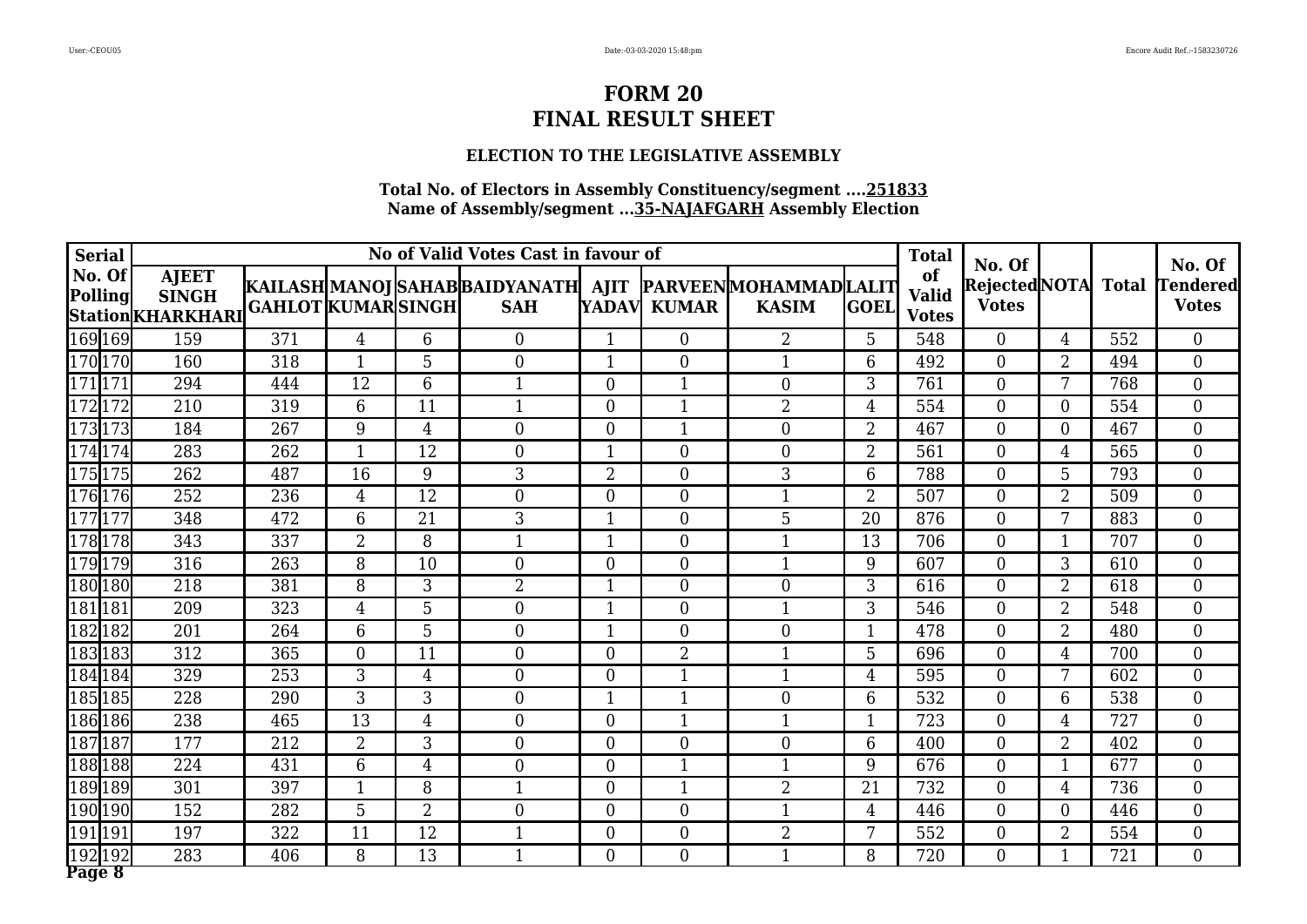### **ELECTION TO THE LEGISLATIVE ASSEMBLY**

| <b>Serial</b>            |                                                   |                           |                |                 | No of Valid Votes Cast in favour of                                         |                |                  |                |                | <b>Total</b>                       | No. Of                              |                |     | No. Of                          |
|--------------------------|---------------------------------------------------|---------------------------|----------------|-----------------|-----------------------------------------------------------------------------|----------------|------------------|----------------|----------------|------------------------------------|-------------------------------------|----------------|-----|---------------------------------|
| No. Of<br><b>Polling</b> | <b>AJEET</b><br><b>SINGH</b><br>Station KHARKHARI | <b>GAHLOT KUMAR SINGH</b> |                |                 | KAILASH MANOJ SAHAB BAIDYANATH  AJIT  PARVEEN MOHAMMAD LALIT <br><b>SAH</b> |                | YADAV KUMAR      | <b>KASIM</b>   | <b>GOEL</b>    | of<br><b>Valid</b><br><b>Votes</b> | Rejected NOTA Total<br><b>Votes</b> |                |     | <b>Tendered</b><br><b>Votes</b> |
| 169 169                  | 159                                               | 371                       | 4              | 6               | $\theta$                                                                    | 1              | $\theta$         | 2              | 5              | 548                                | $\Omega$                            | 4              | 552 | $\Omega$                        |
| 170170                   | 160                                               | 318                       | $\mathbf{1}$   | 5               | $\overline{0}$                                                              | $\mathbf{1}$   | $\overline{0}$   | $\mathbf{1}$   | 6              | 492                                | $\theta$                            | $\overline{2}$ | 494 | $\overline{0}$                  |
| $\overline{171 171}$     | 294                                               | 444                       | 12             | 6               | 1                                                                           | $\theta$       | $\mathbf{1}$     | $\overline{0}$ | 3              | 761                                | $\theta$                            | 7              | 768 | $\boldsymbol{0}$                |
| 172172                   | 210                                               | 319                       | 6              | 11              | $\mathbf{1}$                                                                | $\theta$       | $\mathbf{1}$     | $\overline{2}$ | $\overline{4}$ | 554                                | $\theta$                            | $\theta$       | 554 | $\overline{0}$                  |
| 173173                   | 184                                               | 267                       | 9              | $\overline{4}$  | $\overline{0}$                                                              | $\theta$       | $\mathbf{1}$     | $\overline{0}$ | $\overline{2}$ | 467                                | $\theta$                            | $\theta$       | 467 | $\overline{0}$                  |
| $\sqrt{174}$ 174         | 283                                               | 262                       | $\mathbf{1}$   | 12              | $\Omega$                                                                    | $\mathbf{1}$   | $\theta$         | $\overline{0}$ | $\overline{2}$ | 561                                | $\Omega$                            | 4              | 565 | $\overline{0}$                  |
| 175175                   | 262                                               | 487                       | 16             | 9               | $\mathfrak{Z}$                                                              | $\overline{2}$ | $\overline{0}$   | 3              | 6              | 788                                | $\overline{0}$                      | 5              | 793 | $\overline{0}$                  |
| 176176                   | 252                                               | 236                       | $\overline{4}$ | 12              | $\overline{0}$                                                              | $\theta$       | $\boldsymbol{0}$ | $\mathbf{1}$   | $\overline{2}$ | 507                                | $\theta$                            | $\overline{2}$ | 509 | $\overline{0}$                  |
| 177177                   | 348                                               | 472                       | 6              | 21              | 3                                                                           | $\mathbf{1}$   | $\Omega$         | 5              | 20             | 876                                | $\theta$                            | 7              | 883 | $\overline{0}$                  |
| 178178                   | 343                                               | 337                       | $\overline{2}$ | 8               |                                                                             | $\mathbf{1}$   | $\overline{0}$   |                | 13             | 706                                | $\theta$                            |                | 707 | $\overline{0}$                  |
| 179179                   | 316                                               | 263                       | 8              | 10              | $\overline{0}$                                                              | $\overline{0}$ | $\boldsymbol{0}$ | $\mathbf{1}$   | 9              | 607                                | $\theta$                            | 3              | 610 | $\overline{0}$                  |
| 180180                   | 218                                               | 381                       | 8              | 3               | $\overline{2}$                                                              | 1              | $\overline{0}$   | $\overline{0}$ | 3              | 616                                | $\theta$                            | $\overline{2}$ | 618 | $\overline{0}$                  |
| 181181                   | 209                                               | 323                       | $\overline{4}$ | 5               | $\Omega$                                                                    | $\mathbf{1}$   | $\overline{0}$   | $\mathbf 1$    | 3              | 546                                | $\theta$                            | $\overline{2}$ | 548 | $\overline{0}$                  |
| 182182                   | 201                                               | 264                       | 6              | 5               | $\Omega$                                                                    | $\mathbf{1}$   | $\theta$         | $\theta$       | $\mathbf{1}$   | 478                                | $\Omega$                            | $\overline{2}$ | 480 | $\overline{0}$                  |
| 183183                   | 312                                               | 365                       | $\overline{0}$ | 11              | $\overline{0}$                                                              | $\theta$       | $\overline{2}$   | $\mathbf{1}$   | 5              | 696                                | $\theta$                            | 4              | 700 | $\boldsymbol{0}$                |
| 184184                   | 329                                               | 253                       | 3              | $\overline{4}$  | $\theta$                                                                    | $\theta$       | $\mathbf{1}$     | $\mathbf{1}$   | $\overline{4}$ | 595                                | $\theta$                            | 7              | 602 | $\boldsymbol{0}$                |
| 185185                   | 228                                               | 290                       | 3              | 3               | $\overline{0}$                                                              | $\mathbf{1}$   | $\mathbf{1}$     | $\overline{0}$ | 6              | 532                                | $\theta$                            | 6              | 538 | $\overline{0}$                  |
| 186186                   | 238                                               | 465                       | 13             | $\overline{4}$  | $\theta$                                                                    | $\theta$       | $\mathbf{1}$     | $\mathbf{1}$   | $\mathbf{1}$   | 723                                | $\theta$                            | 4              | 727 | $\overline{0}$                  |
| 187187                   | 177                                               | 212                       | $\overline{2}$ | 3               | $\Omega$                                                                    | $\Omega$       | $\theta$         | $\theta$       | 6              | 400                                | $\Omega$                            | $\overline{2}$ | 402 | $\Omega$                        |
| 188188                   | 224                                               | 431                       | 6              | $\overline{4}$  | $\overline{0}$                                                              | $\theta$       | 1                |                | 9              | 676                                | $\overline{0}$                      |                | 677 | $\boldsymbol{0}$                |
| 189189                   | 301                                               | 397                       | $\mathbf 1$    | 8               | 1                                                                           | $\overline{0}$ | $\mathbf{1}$     | $\overline{2}$ | 21             | 732                                | $\theta$                            | 4              | 736 | $\overline{0}$                  |
| 190190                   | 152                                               | 282                       | 5              | $\overline{2}$  | $\overline{0}$                                                              | $\theta$       | $\overline{0}$   | $\mathbf{1}$   | $\overline{4}$ | 446                                | $\theta$                            | $\theta$       | 446 | $\overline{0}$                  |
| 191  191                 | 197                                               | 322                       | 11             | 12              |                                                                             | $\overline{0}$ | $\boldsymbol{0}$ | $\overline{2}$ | 7              | 552                                | $\theta$                            | $\overline{2}$ | 554 | $\boldsymbol{0}$                |
| 192192<br>Page 8         | 283                                               | 406                       | 8              | $\overline{13}$ | $\mathbf 1$                                                                 | $\theta$       | $\overline{0}$   | $\mathbf{1}$   | 8              | 720                                | $\theta$                            |                | 721 | $\overline{0}$                  |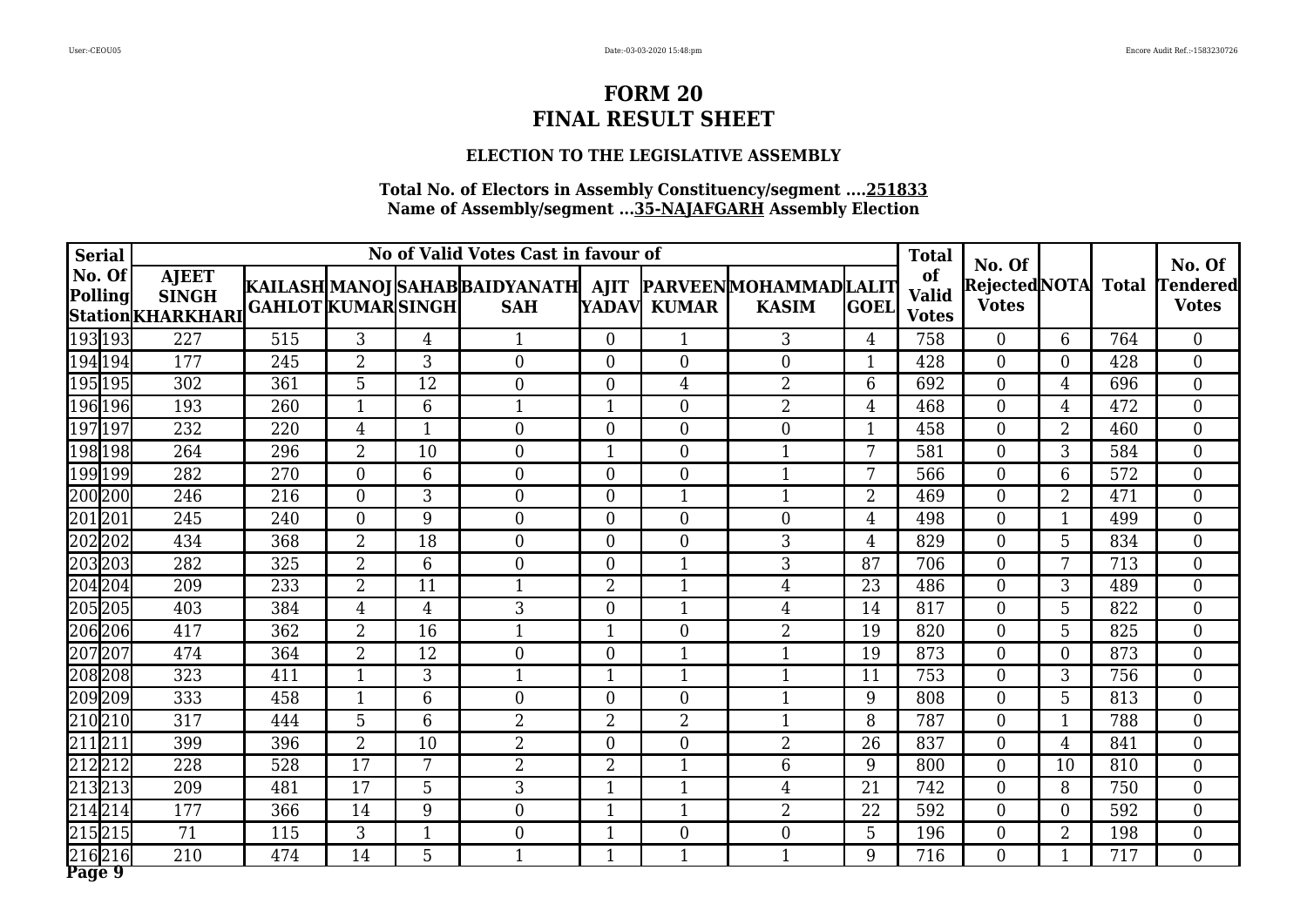### **ELECTION TO THE LEGISLATIVE ASSEMBLY**

| <b>Serial</b>            |                                                   |                          |                |                | No of Valid Votes Cast in favour of                                         |                |                  |                  |                | <b>Total</b>                       | No. Of                              |                |     | No. Of                          |
|--------------------------|---------------------------------------------------|--------------------------|----------------|----------------|-----------------------------------------------------------------------------|----------------|------------------|------------------|----------------|------------------------------------|-------------------------------------|----------------|-----|---------------------------------|
| No. Of<br><b>Polling</b> | <b>AJEET</b><br><b>SINGH</b><br>Station KHARKHARI | <b>GAHLOT KUMARSINGH</b> |                |                | KAILASH MANOJ SAHAB BAIDYANATH  AJIT  PARVEEN MOHAMMAD LALIT <br><b>SAH</b> |                | YADAV KUMAR      | <b>KASIM</b>     | <b>GOEL</b>    | of<br><b>Valid</b><br><b>Votes</b> | Rejected NOTA Total<br><b>Votes</b> |                |     | <b>Tendered</b><br><b>Votes</b> |
| 193193                   | 227                                               | 515                      | 3              | $\overline{4}$ |                                                                             | $\theta$       | 1                | 3                | $\overline{4}$ | 758                                | $\Omega$                            | 6              | 764 | $\Omega$                        |
| 194 194                  | 177                                               | 245                      | $\overline{2}$ | 3              | $\overline{0}$                                                              | $\theta$       | $\overline{0}$   | $\overline{0}$   | $\mathbf{1}$   | 428                                | $\theta$                            | $\Omega$       | 428 | $\overline{0}$                  |
| 195195                   | 302                                               | 361                      | 5              | 12             | $\theta$                                                                    | $\theta$       | 4                | $\overline{2}$   | 6              | 692                                | $\theta$                            | 4              | 696 | $\boldsymbol{0}$                |
| 196196                   | 193                                               | 260                      | 1              | 6              | $\mathbf{1}$                                                                | 1              | $\Omega$         | $\overline{2}$   | $\overline{4}$ | 468                                | $\theta$                            | 4              | 472 | $\overline{0}$                  |
| 197197                   | 232                                               | 220                      | 4              |                | $\overline{0}$                                                              | $\theta$       | $\boldsymbol{0}$ | $\overline{0}$   | $\mathbf{1}$   | 458                                | $\theta$                            | $\overline{2}$ | 460 | $\overline{0}$                  |
| 198 198                  | 264                                               | $\overline{296}$         | $\overline{2}$ | 10             | $\Omega$                                                                    | $\mathbf{1}$   | $\theta$         | $\overline{1}$   | 7              | 581                                | $\Omega$                            | 3              | 584 | $\overline{0}$                  |
| 199199                   | 282                                               | 270                      | $\overline{0}$ | 6              | $\theta$                                                                    | $\theta$       | $\overline{0}$   | $\mathbf{1}$     | 7              | 566                                | $\overline{0}$                      | 6              | 572 | $\overline{0}$                  |
| 200200                   | 246                                               | 216                      | $\overline{0}$ | 3              | $\overline{0}$                                                              | $\theta$       | $\mathbf{1}$     | $\mathbf{1}$     | $\overline{2}$ | 469                                | $\theta$                            | $\overline{2}$ | 471 | $\overline{0}$                  |
| 201201                   | 245                                               | 240                      | $\Omega$       | 9              | $\Omega$                                                                    | $\theta$       | $\Omega$         | $\theta$         | $\overline{4}$ | 498                                | $\theta$                            | $\mathbf 1$    | 499 | $\overline{0}$                  |
| 202202                   | 434                                               | 368                      | $\overline{2}$ | 18             | $\theta$                                                                    | $\theta$       | $\overline{0}$   | 3                | $\overline{4}$ | 829                                | $\theta$                            | 5              | 834 | $\overline{0}$                  |
| 203203                   | 282                                               | 325                      | $\overline{2}$ | 6              | $\boldsymbol{0}$                                                            | $\overline{0}$ | $\mathbf{1}$     | 3                | 87             | 706                                | $\theta$                            | 7              | 713 | $\overline{0}$                  |
| 204204                   | 209                                               | 233                      | $\overline{2}$ | 11             | 1                                                                           | $\overline{2}$ | $\mathbf{1}$     | $\overline{4}$   | 23             | 486                                | $\theta$                            | 3              | 489 | $\overline{0}$                  |
| 205205                   | 403                                               | 384                      | $\overline{4}$ | $\overline{4}$ | 3                                                                           | $\theta$       | $\mathbf{1}$     | 4                | 14             | 817                                | $\theta$                            | 5              | 822 | $\overline{0}$                  |
| 206206                   | 417                                               | 362                      | $\overline{2}$ | 16             | 1                                                                           | $\mathbf{1}$   | $\theta$         | $\overline{2}$   | 19             | 820                                | $\Omega$                            | 5              | 825 | $\overline{0}$                  |
| 207207                   | 474                                               | 364                      | $\overline{2}$ | 12             | $\overline{0}$                                                              | $\theta$       | $\mathbf{1}$     | $\mathbf{1}$     | 19             | 873                                | $\theta$                            | $\Omega$       | 873 | $\boldsymbol{0}$                |
| 208208                   | 323                                               | 411                      | $\mathbf{1}$   | 3              | 1                                                                           | $\mathbf{1}$   | $\mathbf{1}$     | $\mathbf{1}$     | 11             | 753                                | $\overline{0}$                      | 3              | 756 | $\boldsymbol{0}$                |
| 209209                   | 333                                               | 458                      | $\mathbf{1}$   | 6              | $\overline{0}$                                                              | $\overline{0}$ | $\overline{0}$   | $\mathbf{1}$     | 9              | 808                                | $\theta$                            | 5              | 813 | $\overline{0}$                  |
| $\sqrt{210}210$          | 317                                               | 444                      | 5              | 6              | 2                                                                           | $\overline{2}$ | $\overline{2}$   | $\mathbf{1}$     | 8              | 787                                | $\theta$                            | $\mathbf 1$    | 788 | $\overline{0}$                  |
| 211211                   | 399                                               | 396                      | $\overline{2}$ | 10             | $\overline{2}$                                                              | $\Omega$       | $\theta$         | $\overline{2}$   | 26             | 837                                | $\Omega$                            | 4              | 841 | $\Omega$                        |
| 212212                   | 228                                               | 528                      | 17             | 7              | $\overline{2}$                                                              | $\overline{2}$ | 1                | 6                | 9              | 800                                | $\overline{0}$                      | 10             | 810 | $\boldsymbol{0}$                |
| 213213                   | 209                                               | 481                      | 17             | 5              | 3                                                                           | 1              | $\mathbf{1}$     | 4                | 21             | 742                                | $\theta$                            | 8              | 750 | $\overline{0}$                  |
| 214214                   | 177                                               | 366                      | 14             | 9              | $\overline{0}$                                                              | $\mathbf{1}$   | $\mathbf{1}$     | $\overline{2}$   | 22             | 592                                | $\theta$                            | $\theta$       | 592 | $\overline{0}$                  |
| $\sqrt{215}$  215        | 71                                                | 115                      | 3              | $\mathbf{1}$   | $\overline{0}$                                                              | $\mathbf{1}$   | $\boldsymbol{0}$ | $\boldsymbol{0}$ | 5              | 196                                | $\theta$                            | $\overline{2}$ | 198 | $\boldsymbol{0}$                |
| 216216<br>Page 9         | $\overline{210}$                                  | 474                      | 14             | 5              | $\mathbf 1$                                                                 | $\mathbf{1}$   | $\mathbf{1}$     | $\mathbf{1}$     | 9              | 716                                | $\theta$                            |                | 717 | $\overline{0}$                  |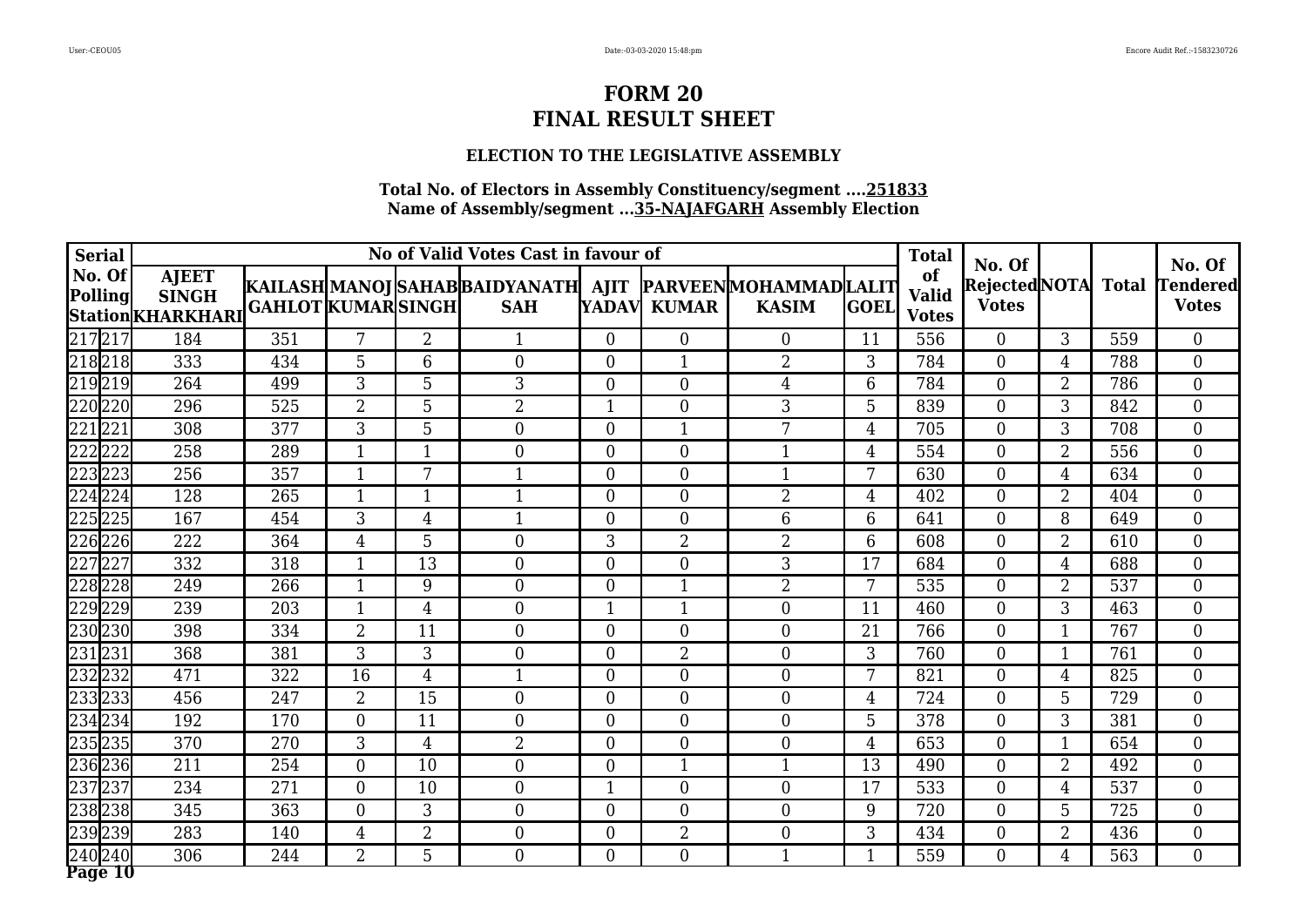### **ELECTION TO THE LEGISLATIVE ASSEMBLY**

| <b>Serial</b>     |                                                    |                           |                |                | No of Valid Votes Cast in favour of                                        |                |                |                  |                | <b>Total</b>                       |                                              |                |                  |                                           |
|-------------------|----------------------------------------------------|---------------------------|----------------|----------------|----------------------------------------------------------------------------|----------------|----------------|------------------|----------------|------------------------------------|----------------------------------------------|----------------|------------------|-------------------------------------------|
| No. Of<br>Polling | <b>AJEET</b><br><b>SINGH</b><br> Station KHARKHARI | <b>GAHLOT KUMAR SINGH</b> |                |                | KAILASH MANOJ SAHAB BAIDYANATH  AJIT  PARVEEN MOHAMMAD LALIT<br><b>SAH</b> |                | YADAVI KUMAR   | <b>KASIM</b>     | <b>GOEL</b>    | of<br><b>Valid</b><br><b>Votes</b> | No. Of<br>RejectedNOTA Total<br><b>Votes</b> |                |                  | No. Of<br><b>Tendered</b><br><b>Votes</b> |
| 217 217           | 184                                                | 351                       | 7              | $\overline{2}$ |                                                                            | $\Omega$       | $\theta$       | $\theta$         | 11             | 556                                | $\Omega$                                     | 3              | 559              | $\Omega$                                  |
| 218218            | 333                                                | 434                       | 5              | 6              | $\overline{0}$                                                             | $\theta$       | 1              | $\overline{2}$   | 3              | 784                                | $\theta$                                     | 4              | 788              | $\overline{0}$                            |
| 219219            | 264                                                | 499                       | 3              | 5              | 3                                                                          | $\overline{0}$ | $\overline{0}$ | $\overline{4}$   | 6              | 784                                | $\theta$                                     | $\overline{2}$ | 786              | $\boldsymbol{0}$                          |
| 220220            | 296                                                | 525                       | $\overline{2}$ | 5              | $\overline{2}$                                                             | $\mathbf{1}$   | $\Omega$       | 3                | 5              | 839                                | $\theta$                                     | 3              | 842              | $\overline{0}$                            |
| 221               | 308                                                | 377                       | 3              | 5              | $\overline{0}$                                                             | $\overline{0}$ | 1              | 7                | 4              | 705                                | $\theta$                                     | 3              | 708              | $\overline{0}$                            |
| 222 222           | 258                                                | 289                       | $\mathbf{1}$   | 1              | $\theta$                                                                   | $\theta$       | $\Omega$       | $\mathbf{1}$     | $\overline{4}$ | 554                                | $\Omega$                                     | $\overline{2}$ | 556              | $\overline{0}$                            |
| 223223            | 256                                                | 357                       | 1              | 7              |                                                                            | $\overline{0}$ | $\theta$       | $\mathbf 1$      | 7              | 630                                | $\theta$                                     | 4              | 634              | $\overline{0}$                            |
| 224224            | 128                                                | 265                       | $\mathbf{1}$   | $\mathbf{1}$   | $\mathbf{1}$                                                               | $\overline{0}$ | $\overline{0}$ | $\overline{2}$   | $\overline{4}$ | 402                                | $\overline{0}$                               | $\overline{2}$ | 404              | $\overline{0}$                            |
| 225225            | 167                                                | 454                       | 3              | 4              | $\mathbf{1}$                                                               | $\theta$       | $\theta$       | 6                | 6              | 641                                | $\Omega$                                     | 8              | 649              | $\overline{0}$                            |
| 226226            | 222                                                | 364                       | 4              | 5              | $\overline{0}$                                                             | 3              | $\overline{2}$ | $\overline{2}$   | 6              | 608                                | $\theta$                                     | $\overline{2}$ | 610              | $\overline{0}$                            |
| 227227            | 332                                                | 318                       | $\mathbf{1}$   | 13             | $\boldsymbol{0}$                                                           | $\overline{0}$ | $\theta$       | 3                | 17             | 684                                | $\theta$                                     | 4              | 688              | $\overline{0}$                            |
| 228228            | 249                                                | 266                       | $\mathbf{1}$   | 9              | $\theta$                                                                   | $\overline{0}$ | 1              | $\overline{2}$   | 7              | 535                                | $\theta$                                     | $\overline{2}$ | 537              | $\overline{0}$                            |
| 229229            | 239                                                | 203                       | $\mathbf{1}$   | 4              | $\overline{0}$                                                             | 1              | 1              | $\overline{0}$   | 11             | 460                                | $\theta$                                     | 3              | 463              | $\overline{0}$                            |
| 230230            | 398                                                | 334                       | $\overline{2}$ | 11             | $\overline{0}$                                                             | $\theta$       | $\Omega$       | $\overline{0}$   | 21             | 766                                | $\Omega$                                     | $\mathbf 1$    | 767              | $\overline{0}$                            |
| 231231            | 368                                                | 381                       | 3              | 3              | $\overline{0}$                                                             | $\overline{0}$ | $\overline{2}$ | $\overline{0}$   | $\mathfrak{Z}$ | 760                                | $\theta$                                     | $\mathbf 1$    | 761              | $\boldsymbol{0}$                          |
| 232232            | 471                                                | 322                       | 16             | 4              | $\mathbf 1$                                                                | $\overline{0}$ | $\overline{0}$ | $\boldsymbol{0}$ | 7              | 821                                | $\theta$                                     | 4              | 825              | $\boldsymbol{0}$                          |
| 233233            | 456                                                | 247                       | $\overline{2}$ | 15             | $\overline{0}$                                                             | $\overline{0}$ | $\overline{0}$ | $\overline{0}$   | 4              | 724                                | $\theta$                                     | 5              | 729              | $\overline{0}$                            |
| 234 234           | 192                                                | 170                       | $\Omega$       | 11             | $\theta$                                                                   | $\theta$       | $\Omega$       | $\theta$         | 5              | 378                                | $\theta$                                     | 3              | 381              | $\overline{0}$                            |
| 235235            | 370                                                | 270                       | 3              | 4              | $\overline{2}$                                                             | $\Omega$       | $\Omega$       | $\theta$         | $\overline{4}$ | 653                                | $\Omega$                                     | $\mathbf 1$    | 654              | $\Omega$                                  |
| 236236            | 211                                                | 254                       | $\overline{0}$ | 10             | $\overline{0}$                                                             | $\theta$       | $\mathbf{1}$   | 1                | 13             | 490                                | $\theta$                                     | $\overline{2}$ | 492              | $\boldsymbol{0}$                          |
| 237237            | 234                                                | 271                       | $\overline{0}$ | 10             | $\overline{0}$                                                             | 1              | $\overline{0}$ | $\boldsymbol{0}$ | 17             | 533                                | $\overline{0}$                               | 4              | 537              | $\overline{0}$                            |
| 238238            | 345                                                | 363                       | $\overline{0}$ | 3              | $\overline{0}$                                                             | $\theta$       | $\theta$       | $\overline{0}$   | 9              | 720                                | $\theta$                                     | 5              | 725              | $\overline{0}$                            |
| 239239            | 283                                                | 140                       | 4              | $\overline{2}$ | $\overline{0}$                                                             | $\overline{0}$ | $\overline{2}$ | $\boldsymbol{0}$ | 3              | 434                                | $\theta$                                     | $\overline{2}$ | 436              | $\boldsymbol{0}$                          |
| 240240<br>Page 10 | 306                                                | 244                       | $\overline{2}$ | 5              | $\overline{0}$                                                             | $\theta$       | $\Omega$       | $\mathbf{1}$     | $\mathbf{1}$   | 559                                | $\theta$                                     | 4              | $\overline{563}$ | $\overline{0}$                            |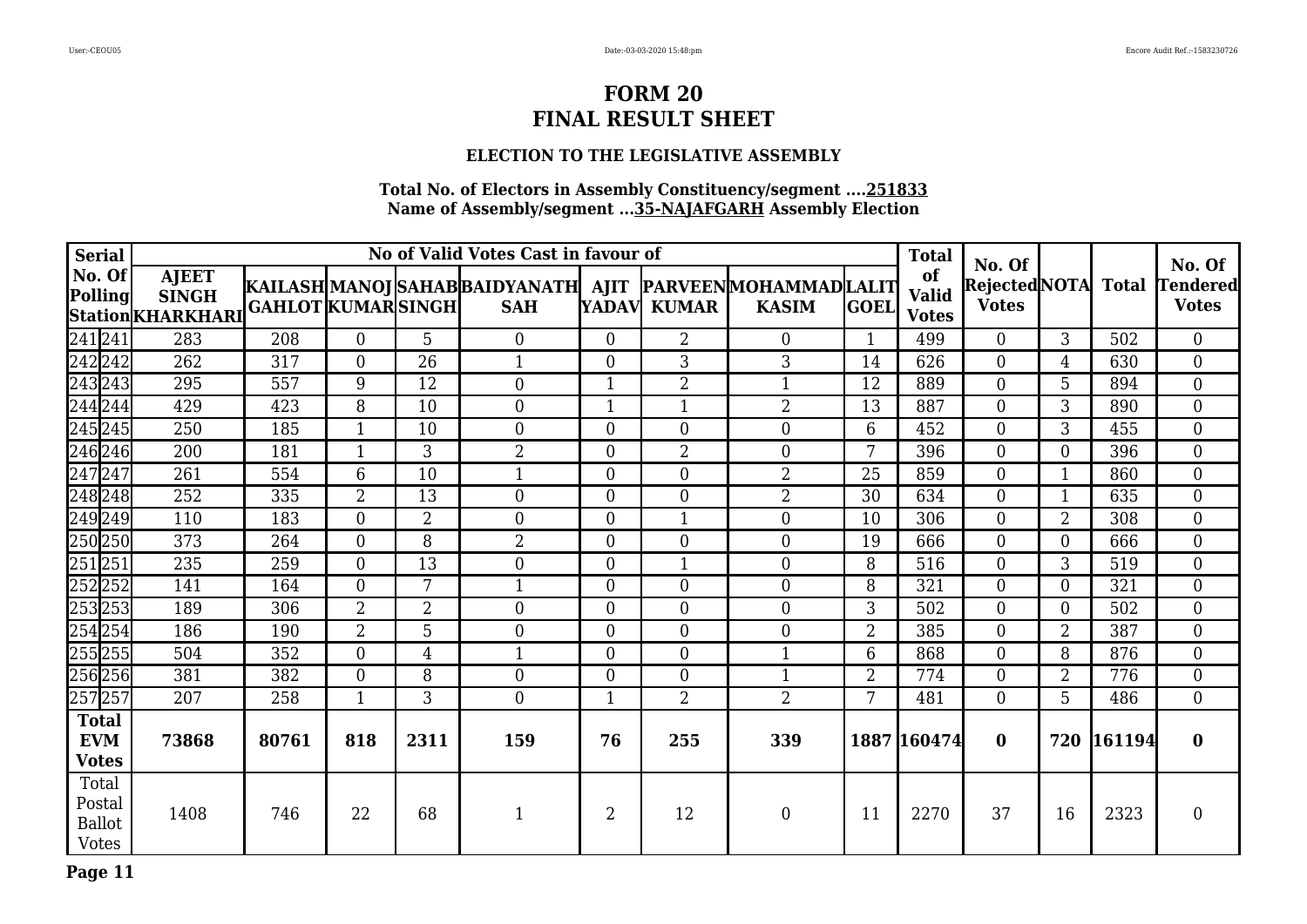### **ELECTION TO THE LEGISLATIVE ASSEMBLY**

| <b>Serial</b>                                    |                                                          |                           |                |                 | No of Valid Votes Cast in favour of                                         |                |                  |                |                | <b>Total</b>                       | No. Of         |                |            | No. Of                                       |
|--------------------------------------------------|----------------------------------------------------------|---------------------------|----------------|-----------------|-----------------------------------------------------------------------------|----------------|------------------|----------------|----------------|------------------------------------|----------------|----------------|------------|----------------------------------------------|
| No. Of<br>Polling                                | <b>AJEET</b><br><b>SINGH</b><br><b>Station KHARKHARI</b> | <b>GAHLOT KUMAR SINGH</b> |                |                 | KAILASH MANOJ SAHAB BAIDYANATH  AJIT  PARVEEN MOHAMMAD LALIT <br><b>SAH</b> |                | YADAV KUMAR      | <b>KASIM</b>   | <b>GOEL</b>    | of<br><b>Valid</b><br><b>Votes</b> | <b>Votes</b>   |                |            | Rejected NOTA Total Tendered<br><b>Votes</b> |
| 241241                                           | 283                                                      | 208                       | $\Omega$       | 5               | $\overline{0}$                                                              | $\Omega$       | $\overline{2}$   | $\overline{0}$ | 1              | 499                                | $\theta$       | 3              | 502        | $\boldsymbol{0}$                             |
| 242 242                                          | 262                                                      | $\overline{317}$          | $\overline{0}$ | $\overline{26}$ | $\mathbf{1}$                                                                | $\theta$       | 3                | 3              | 14             | 626                                | $\theta$       | $\overline{4}$ | 630        | $\overline{0}$                               |
| 243243                                           | 295                                                      | 557                       | 9              | 12              | $\overline{0}$                                                              | 1              | $\overline{2}$   | $\mathbf{1}$   | 12             | 889                                | $\theta$       | 5              | 894        | $\overline{0}$                               |
| 244 244                                          | 429                                                      | 423                       | 8              | 10              | $\overline{0}$                                                              | $\mathbf 1$    | $\mathbf{1}$     | $\overline{2}$ | 13             | 887                                | $\theta$       | 3              | 890        | $\overline{0}$                               |
| $\sqrt{245}245$                                  | 250                                                      | 185                       | $\mathbf{1}$   | 10              | $\overline{0}$                                                              | $\overline{0}$ | $\overline{0}$   | $\overline{0}$ | 6              | 452                                | $\overline{0}$ | 3              | 455        | $\overline{0}$                               |
| 246 246                                          | 200                                                      | 181                       | $\mathbf{1}$   | 3               | $\overline{2}$                                                              | $\theta$       | $\overline{2}$   | $\overline{0}$ | 7              | 396                                | $\overline{0}$ | $\theta$       | 396        | $\overline{0}$                               |
| $\sqrt{247}247$                                  | 261                                                      | 554                       | 6              | 10              | $\mathbf{1}$                                                                | $\theta$       | $\overline{0}$   | $\overline{2}$ | 25             | 859                                | $\theta$       |                | 860        | $\boldsymbol{0}$                             |
| 248 248                                          | 252                                                      | 335                       | $\overline{2}$ | 13              | $\overline{0}$                                                              | $\theta$       | $\overline{0}$   | $\overline{2}$ | 30             | 634                                | $\overline{0}$ | 1              | 635        | $\overline{0}$                               |
| 249 249                                          | 110                                                      | 183                       | $\overline{0}$ | $\overline{2}$  | $\overline{0}$                                                              | $\overline{0}$ | $\mathbf{1}$     | $\overline{0}$ | 10             | 306                                | $\overline{0}$ | $\overline{2}$ | 308        | $\overline{0}$                               |
| 250250                                           | 373                                                      | 264                       | $\overline{0}$ | 8               | $\overline{2}$                                                              | $\overline{0}$ | $\boldsymbol{0}$ | $\overline{0}$ | 19             | 666                                | $\overline{0}$ | $\overline{0}$ | 666        | $\boldsymbol{0}$                             |
| $\sqrt{251}251$                                  | 235                                                      | 259                       | $\theta$       | 13              | $\overline{0}$                                                              | $\theta$       | $\mathbf{1}$     | $\overline{0}$ | 8              | 516                                | $\overline{0}$ | 3              | 519        | $\overline{0}$                               |
| 252252                                           | 141                                                      | 164                       | $\overline{0}$ | 7               | $\mathbf{1}$                                                                | $\overline{0}$ | $\overline{0}$   | $\overline{0}$ | 8              | 321                                | $\overline{0}$ | $\overline{0}$ | 321        | $\boldsymbol{0}$                             |
| 253253                                           | 189                                                      | 306                       | 2              | 2               | $\overline{0}$                                                              | $\theta$       | $\overline{0}$   | $\overline{0}$ | 3              | 502                                | $\theta$       | $\theta$       | 502        | $\overline{0}$                               |
| $\sqrt{254}254$                                  | 186                                                      | 190                       | $\overline{2}$ | 5               | $\overline{0}$                                                              | $\theta$       | $\overline{0}$   | $\overline{0}$ | $\overline{2}$ | 385                                | $\Omega$       | $\overline{2}$ | 387        | $\overline{0}$                               |
| 255255                                           | 504                                                      | 352                       | $\overline{0}$ | $\overline{4}$  | $\mathbf{1}$                                                                | $\overline{0}$ | $\overline{0}$   | $\mathbf{1}$   | $6\phantom{1}$ | 868                                | $\overline{0}$ | 8              | 876        | $\overline{0}$                               |
| 256256                                           | 381                                                      | 382                       | $\overline{0}$ | 8               | $\overline{0}$                                                              | $\theta$       | $\overline{0}$   | $\mathbf{1}$   | $\overline{2}$ | 774                                | $\overline{0}$ | $\overline{2}$ | 776        | $\overline{0}$                               |
| 257257                                           | 207                                                      | 258                       | $\mathbf{1}$   | 3               | $\overline{0}$                                                              |                | $\overline{2}$   | $\overline{2}$ | 7              | 481                                | $\Omega$       | 5              | 486        | $\boldsymbol{0}$                             |
| <b>Total</b><br><b>EVM</b><br><b>Votes</b>       | 73868                                                    | 80761                     | 818            | 2311            | 159                                                                         | 76             | 255              | 339            |                | 1887 160474                        | $\bf{0}$       |                | 720 161194 | $\bf{0}$                                     |
| Total<br>Postal<br><b>Ballot</b><br><b>Votes</b> | 1408                                                     | 746                       | 22             | 68              | $\mathbf{1}$                                                                | $\overline{2}$ | 12               | $\overline{0}$ | 11             | 2270                               | 37             | 16             | 2323       | $\mathbf{0}$                                 |